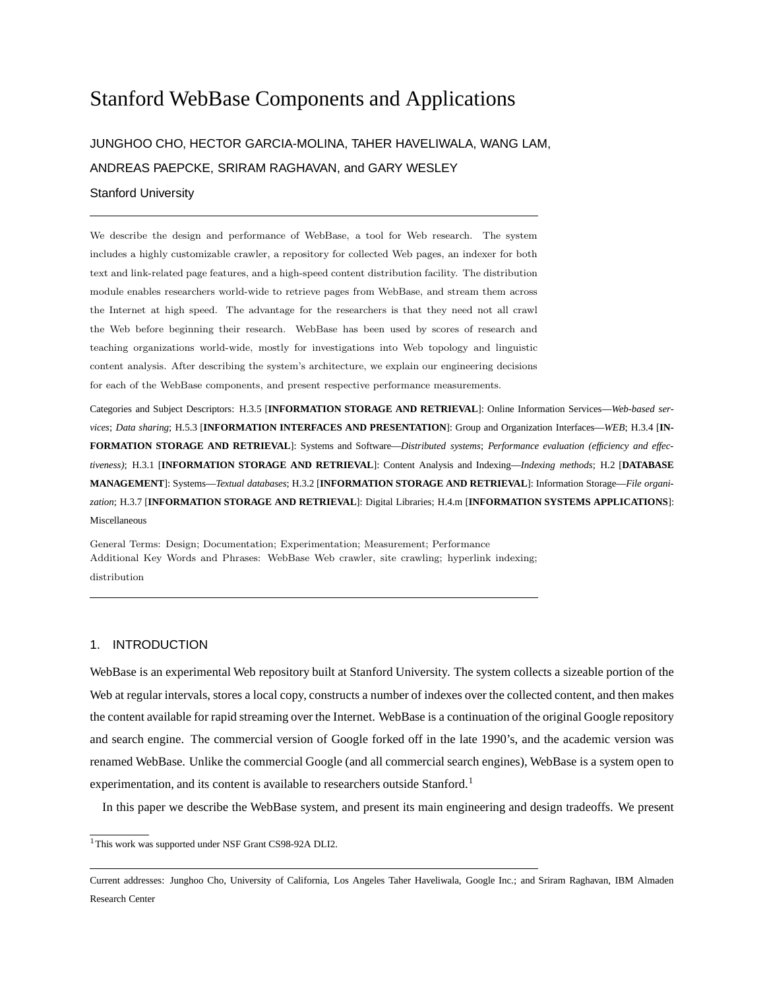# Stanford WebBase Components and Applications

JUNGHOO CHO, HECTOR GARCIA-MOLINA, TAHER HAVELIWALA, WANG LAM, ANDREAS PAEPCKE, SRIRAM RAGHAVAN, and GARY WESLEY Stanford University

We describe the design and performance of WebBase, a tool for Web research. The system includes a highly customizable crawler, a repository for collected Web pages, an indexer for both text and link-related page features, and a high-speed content distribution facility. The distribution module enables researchers world-wide to retrieve pages from WebBase, and stream them across the Internet at high speed. The advantage for the researchers is that they need not all crawl the Web before beginning their research. WebBase has been used by scores of research and teaching organizations world-wide, mostly for investigations into Web topology and linguistic content analysis. After describing the system's architecture, we explain our engineering decisions for each of the WebBase components, and present respective performance measurements.

Categories and Subject Descriptors: H.3.5 [**INFORMATION STORAGE AND RETRIEVAL**]: Online Information Services—*Web-based services*; *Data sharing*; H.5.3 [**INFORMATION INTERFACES AND PRESENTATION**]: Group and Organization Interfaces—*WEB*; H.3.4 [**IN-FORMATION STORAGE AND RETRIEVAL**]: Systems and Software—*Distributed systems*; *Performance evaluation (efficiency and effectiveness)*; H.3.1 [**INFORMATION STORAGE AND RETRIEVAL**]: Content Analysis and Indexing—*Indexing methods*; H.2 [**DATABASE MANAGEMENT**]: Systems—*Textual databases*; H.3.2 [**INFORMATION STORAGE AND RETRIEVAL**]: Information Storage—*File organization*; H.3.7 [**INFORMATION STORAGE AND RETRIEVAL**]: Digital Libraries; H.4.m [**INFORMATION SYSTEMS APPLICATIONS**]: Miscellaneous

General Terms: Design; Documentation; Experimentation; Measurement; Performance Additional Key Words and Phrases: WebBase Web crawler, site crawling; hyperlink indexing; distribution

# 1. INTRODUCTION

WebBase is an experimental Web repository built at Stanford University. The system collects a sizeable portion of the Web at regular intervals, stores a local copy, constructs a number of indexes over the collected content, and then makes the content available for rapid streaming over the Internet. WebBase is a continuation of the original Google repository and search engine. The commercial version of Google forked off in the late 1990's, and the academic version was renamed WebBase. Unlike the commercial Google (and all commercial search engines), WebBase is a system open to experimentation, and its content is available to researchers outside Stanford.<sup>1</sup>

In this paper we describe the WebBase system, and present its main engineering and design tradeoffs. We present

<sup>&</sup>lt;sup>1</sup>This work was supported under NSF Grant CS98-92A DLI2.

Current addresses: Junghoo Cho, University of California, Los Angeles Taher Haveliwala, Google Inc.; and Sriram Raghavan, IBM Almaden Research Center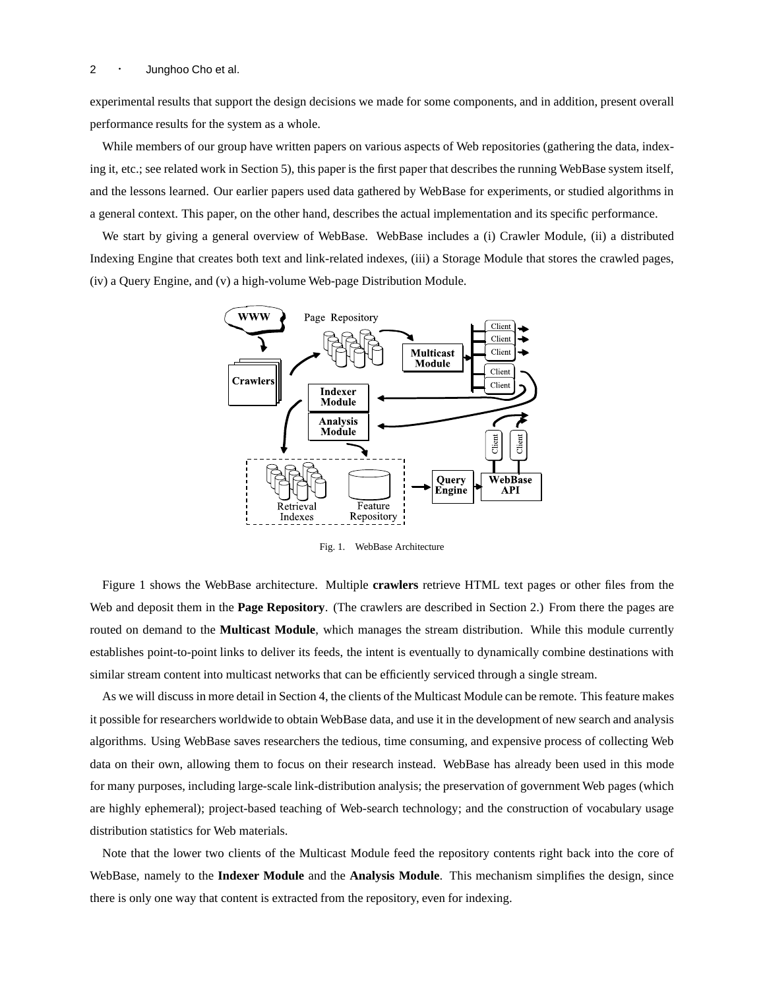experimental results that support the design decisions we made for some components, and in addition, present overall performance results for the system as a whole.

While members of our group have written papers on various aspects of Web repositories (gathering the data, indexing it, etc.; see related work in Section 5), this paper is the first paper that describes the running WebBase system itself, and the lessons learned. Our earlier papers used data gathered by WebBase for experiments, or studied algorithms in a general context. This paper, on the other hand, describes the actual implementation and its specific performance.

We start by giving a general overview of WebBase. WebBase includes a (i) Crawler Module, (ii) a distributed Indexing Engine that creates both text and link-related indexes, (iii) a Storage Module that stores the crawled pages, (iv) a Query Engine, and (v) a high-volume Web-page Distribution Module.



Fig. 1. WebBase Architecture

Figure 1 shows the WebBase architecture. Multiple **crawlers** retrieve HTML text pages or other files from the Web and deposit them in the **Page Repository**. (The crawlers are described in Section 2.) From there the pages are routed on demand to the **Multicast Module**, which manages the stream distribution. While this module currently establishes point-to-point links to deliver its feeds, the intent is eventually to dynamically combine destinations with similar stream content into multicast networks that can be efficiently serviced through a single stream.

As we will discuss in more detail in Section 4, the clients of the Multicast Module can be remote. This feature makes it possible for researchers worldwide to obtain WebBase data, and use it in the development of new search and analysis algorithms. Using WebBase saves researchers the tedious, time consuming, and expensive process of collecting Web data on their own, allowing them to focus on their research instead. WebBase has already been used in this mode for many purposes, including large-scale link-distribution analysis; the preservation of government Web pages (which are highly ephemeral); project-based teaching of Web-search technology; and the construction of vocabulary usage distribution statistics for Web materials.

Note that the lower two clients of the Multicast Module feed the repository contents right back into the core of WebBase, namely to the **Indexer Module** and the **Analysis Module**. This mechanism simplifies the design, since there is only one way that content is extracted from the repository, even for indexing.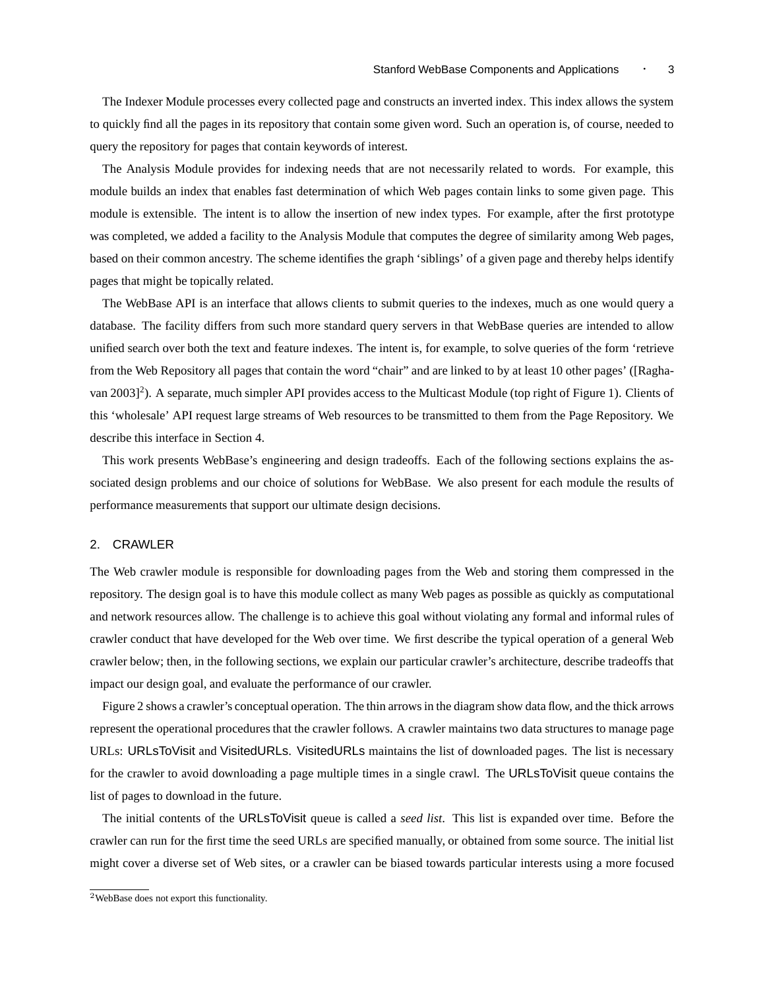The Indexer Module processes every collected page and constructs an inverted index. This index allows the system to quickly find all the pages in its repository that contain some given word. Such an operation is, of course, needed to query the repository for pages that contain keywords of interest.

The Analysis Module provides for indexing needs that are not necessarily related to words. For example, this module builds an index that enables fast determination of which Web pages contain links to some given page. This module is extensible. The intent is to allow the insertion of new index types. For example, after the first prototype was completed, we added a facility to the Analysis Module that computes the degree of similarity among Web pages, based on their common ancestry. The scheme identifies the graph 'siblings' of a given page and thereby helps identify pages that might be topically related.

The WebBase API is an interface that allows clients to submit queries to the indexes, much as one would query a database. The facility differs from such more standard query servers in that WebBase queries are intended to allow unified search over both the text and feature indexes. The intent is, for example, to solve queries of the form 'retrieve from the Web Repository all pages that contain the word "chair" and are linked to by at least 10 other pages' ([Raghavan 2003]<sup>2</sup>). A separate, much simpler API provides access to the Multicast Module (top right of Figure 1). Clients of this 'wholesale' API request large streams of Web resources to be transmitted to them from the Page Repository. We describe this interface in Section 4.

This work presents WebBase's engineering and design tradeoffs. Each of the following sections explains the associated design problems and our choice of solutions for WebBase. We also present for each module the results of performance measurements that support our ultimate design decisions.

# 2. CRAWLER

The Web crawler module is responsible for downloading pages from the Web and storing them compressed in the repository. The design goal is to have this module collect as many Web pages as possible as quickly as computational and network resources allow. The challenge is to achieve this goal without violating any formal and informal rules of crawler conduct that have developed for the Web over time. We first describe the typical operation of a general Web crawler below; then, in the following sections, we explain our particular crawler's architecture, describe tradeoffs that impact our design goal, and evaluate the performance of our crawler.

Figure 2 shows a crawler's conceptual operation. The thin arrows in the diagram show data flow, and the thick arrows represent the operational procedures that the crawler follows. A crawler maintains two data structures to manage page URLs: URLsToVisit and VisitedURLs. VisitedURLs maintains the list of downloaded pages. The list is necessary for the crawler to avoid downloading a page multiple times in a single crawl. The URLsToVisit queue contains the list of pages to download in the future.

The initial contents of the URLsToVisit queue is called a *seed list*. This list is expanded over time. Before the crawler can run for the first time the seed URLs are specified manually, or obtained from some source. The initial list might cover a diverse set of Web sites, or a crawler can be biased towards particular interests using a more focused

<sup>2</sup>WebBase does not export this functionality.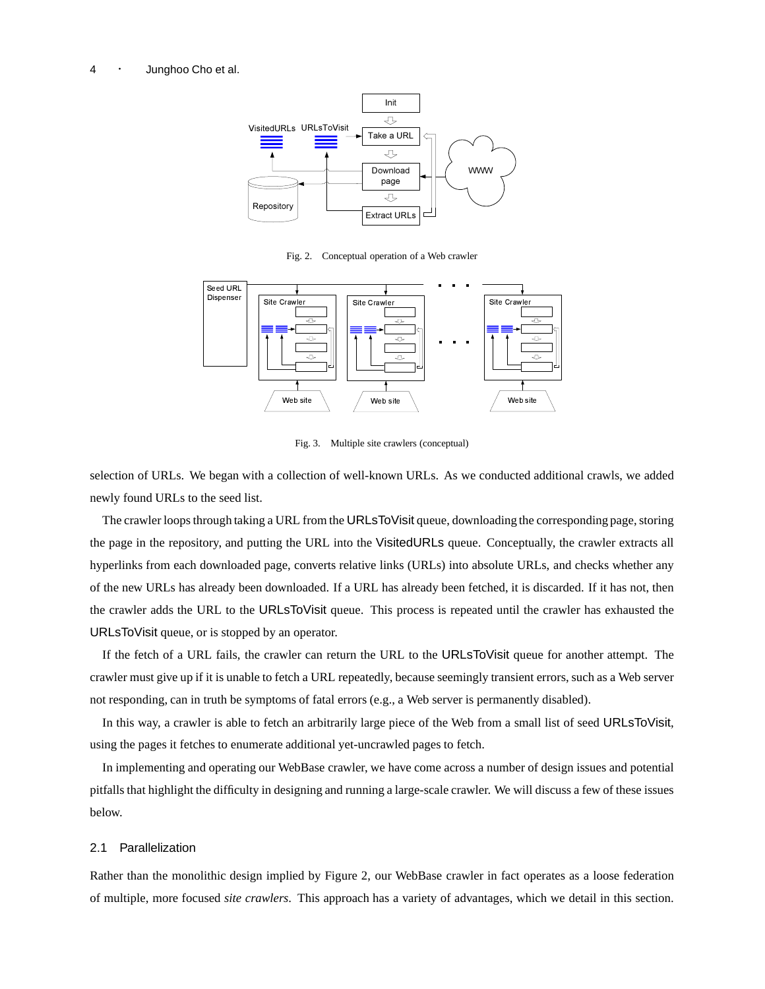#### <sup>4</sup> · Junghoo Cho et al.



Fig. 2. Conceptual operation of a Web crawler



Fig. 3. Multiple site crawlers (conceptual)

selection of URLs. We began with a collection of well-known URLs. As we conducted additional crawls, we added newly found URLs to the seed list.

The crawler loops through taking a URL from the URLsToVisit queue, downloading the corresponding page, storing the page in the repository, and putting the URL into the VisitedURLs queue. Conceptually, the crawler extracts all hyperlinks from each downloaded page, converts relative links (URLs) into absolute URLs, and checks whether any of the new URLs has already been downloaded. If a URL has already been fetched, it is discarded. If it has not, then the crawler adds the URL to the URLsToVisit queue. This process is repeated until the crawler has exhausted the URLsToVisit queue, or is stopped by an operator.

If the fetch of a URL fails, the crawler can return the URL to the URLsToVisit queue for another attempt. The crawler must give up if it is unable to fetch a URL repeatedly, because seemingly transient errors, such as a Web server not responding, can in truth be symptoms of fatal errors (e.g., a Web server is permanently disabled).

In this way, a crawler is able to fetch an arbitrarily large piece of the Web from a small list of seed URLsToVisit, using the pages it fetches to enumerate additional yet-uncrawled pages to fetch.

In implementing and operating our WebBase crawler, we have come across a number of design issues and potential pitfalls that highlight the difficulty in designing and running a large-scale crawler. We will discuss a few of these issues below.

## 2.1 Parallelization

Rather than the monolithic design implied by Figure 2, our WebBase crawler in fact operates as a loose federation of multiple, more focused *site crawlers*. This approach has a variety of advantages, which we detail in this section.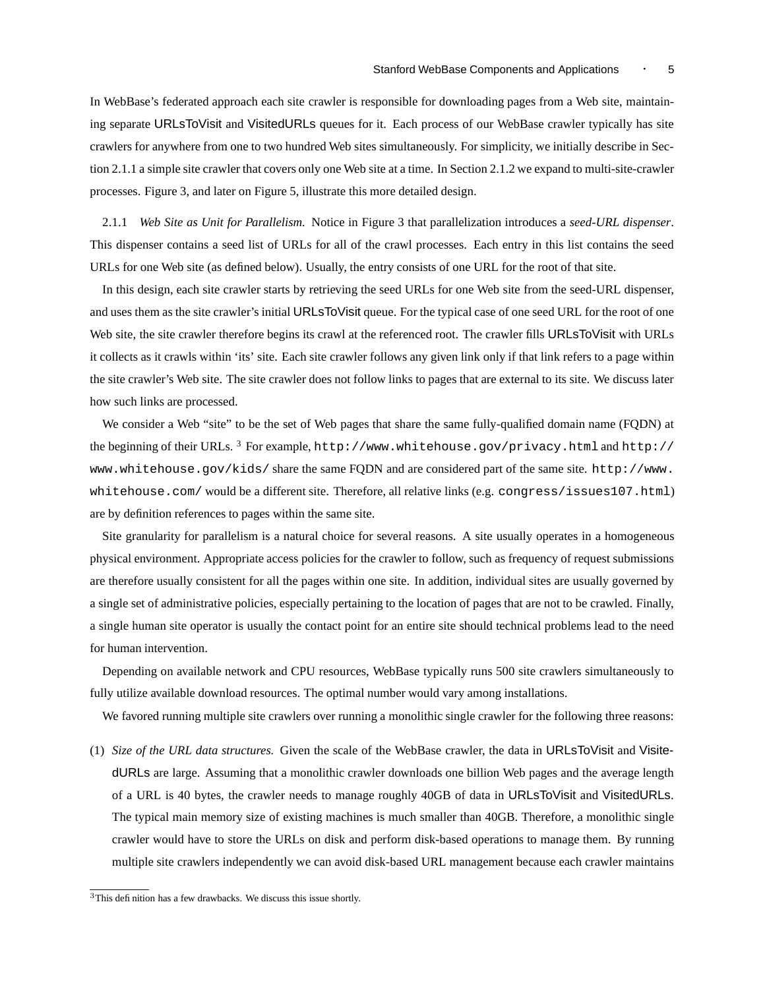In WebBase's federated approach each site crawler is responsible for downloading pages from a Web site, maintaining separate URLsToVisit and VisitedURLs queues for it. Each process of our WebBase crawler typically has site crawlers for anywhere from one to two hundred Web sites simultaneously. For simplicity, we initially describe in Section 2.1.1 a simple site crawler that covers only one Web site at a time. In Section 2.1.2 we expand to multi-site-crawler processes. Figure 3, and later on Figure 5, illustrate this more detailed design.

2.1.1 *Web Site as Unit for Parallelism.* Notice in Figure 3 that parallelization introduces a *seed-URL dispenser*. This dispenser contains a seed list of URLs for all of the crawl processes. Each entry in this list contains the seed URLs for one Web site (as defined below). Usually, the entry consists of one URL for the root of that site.

In this design, each site crawler starts by retrieving the seed URLs for one Web site from the seed-URL dispenser, and uses them as the site crawler's initial URLsToVisit queue. For the typical case of one seed URL for the root of one Web site, the site crawler therefore begins its crawl at the referenced root. The crawler fills URLsToVisit with URLs it collects as it crawls within 'its' site. Each site crawler follows any given link only if that link refers to a page within the site crawler's Web site. The site crawler does not follow links to pages that are external to its site. We discuss later how such links are processed.

We consider a Web "site" to be the set of Web pages that share the same fully-qualified domain name (FQDN) at the beginning of their URLs.<sup>3</sup> For example, http://www.whitehouse.gov/privacy.html and http:// www.whitehouse.gov/kids/ share the same FQDN and are considered part of the same site. http://www. whitehouse.com/ would be a different site. Therefore, all relative links (e.g. congress/issues107.html) are by definition references to pages within the same site.

Site granularity for parallelism is a natural choice for several reasons. A site usually operates in a homogeneous physical environment. Appropriate access policies for the crawler to follow, such as frequency of request submissions are therefore usually consistent for all the pages within one site. In addition, individual sites are usually governed by a single set of administrative policies, especially pertaining to the location of pages that are not to be crawled. Finally, a single human site operator is usually the contact point for an entire site should technical problems lead to the need for human intervention.

Depending on available network and CPU resources, WebBase typically runs 500 site crawlers simultaneously to fully utilize available download resources. The optimal number would vary among installations.

We favored running multiple site crawlers over running a monolithic single crawler for the following three reasons:

(1) *Size of the URL data structures.* Given the scale of the WebBase crawler, the data in URLsToVisit and VisitedURLs are large. Assuming that a monolithic crawler downloads one billion Web pages and the average length of a URL is 40 bytes, the crawler needs to manage roughly 40GB of data in URLsToVisit and VisitedURLs. The typical main memory size of existing machines is much smaller than 40GB. Therefore, a monolithic single crawler would have to store the URLs on disk and perform disk-based operations to manage them. By running multiple site crawlers independently we can avoid disk-based URL management because each crawler maintains

<sup>&</sup>lt;sup>3</sup>This definition has a few drawbacks. We discuss this issue shortly.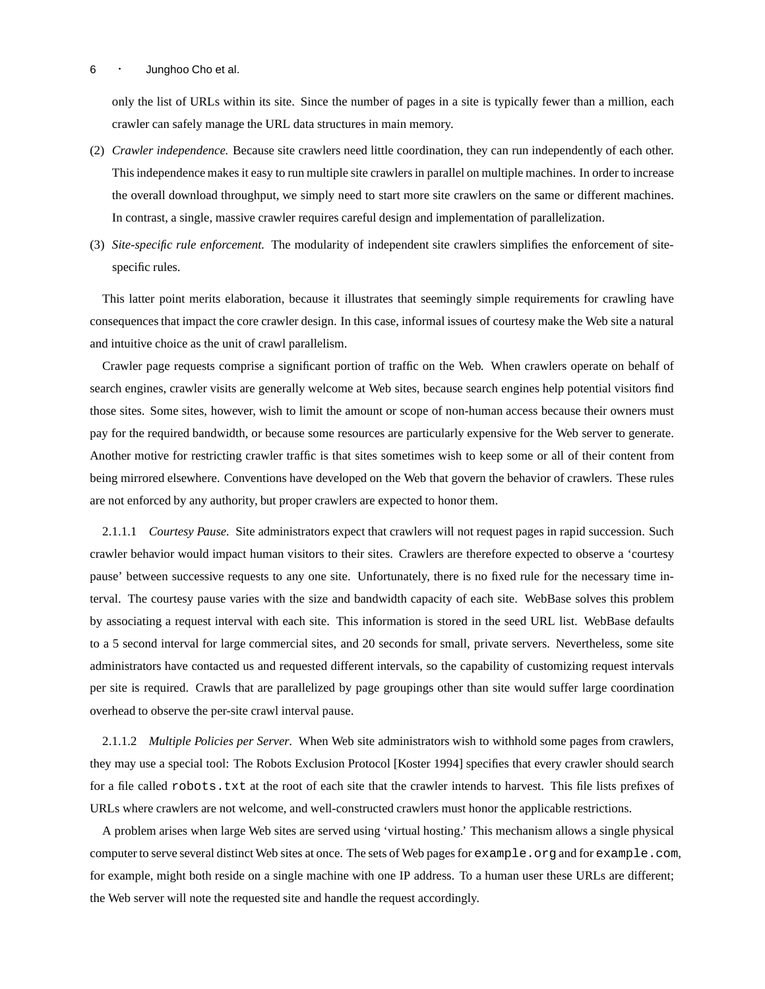<sup>6</sup> · Junghoo Cho et al.

only the list of URLs within its site. Since the number of pages in a site is typically fewer than a million, each crawler can safely manage the URL data structures in main memory.

- (2) *Crawler independence.* Because site crawlers need little coordination, they can run independently of each other. This independence makes it easy to run multiple site crawlersin parallel on multiple machines. In order to increase the overall download throughput, we simply need to start more site crawlers on the same or different machines. In contrast, a single, massive crawler requires careful design and implementation of parallelization.
- (3) *Site-specific rule enforcement.* The modularity of independent site crawlers simplifies the enforcement of sitespecific rules.

This latter point merits elaboration, because it illustrates that seemingly simple requirements for crawling have consequences that impact the core crawler design. In this case, informal issues of courtesy make the Web site a natural and intuitive choice as the unit of crawl parallelism.

Crawler page requests comprise a significant portion of traffic on the Web. When crawlers operate on behalf of search engines, crawler visits are generally welcome at Web sites, because search engines help potential visitors find those sites. Some sites, however, wish to limit the amount or scope of non-human access because their owners must pay for the required bandwidth, or because some resources are particularly expensive for the Web server to generate. Another motive for restricting crawler traffic is that sites sometimes wish to keep some or all of their content from being mirrored elsewhere. Conventions have developed on the Web that govern the behavior of crawlers. These rules are not enforced by any authority, but proper crawlers are expected to honor them.

2.1.1.1 *Courtesy Pause.* Site administrators expect that crawlers will not request pages in rapid succession. Such crawler behavior would impact human visitors to their sites. Crawlers are therefore expected to observe a 'courtesy pause' between successive requests to any one site. Unfortunately, there is no fixed rule for the necessary time interval. The courtesy pause varies with the size and bandwidth capacity of each site. WebBase solves this problem by associating a request interval with each site. This information is stored in the seed URL list. WebBase defaults to a 5 second interval for large commercial sites, and 20 seconds for small, private servers. Nevertheless, some site administrators have contacted us and requested different intervals, so the capability of customizing request intervals per site is required. Crawls that are parallelized by page groupings other than site would suffer large coordination overhead to observe the per-site crawl interval pause.

2.1.1.2 *Multiple Policies per Server.* When Web site administrators wish to withhold some pages from crawlers, they may use a special tool: The Robots Exclusion Protocol [Koster 1994] specifies that every crawler should search for a file called robots.txt at the root of each site that the crawler intends to harvest. This file lists prefixes of URLs where crawlers are not welcome, and well-constructed crawlers must honor the applicable restrictions.

A problem arises when large Web sites are served using 'virtual hosting.' This mechanism allows a single physical computer to serve several distinct Web sites at once. The sets of Web pages for example.org and for example.com, for example, might both reside on a single machine with one IP address. To a human user these URLs are different; the Web server will note the requested site and handle the request accordingly.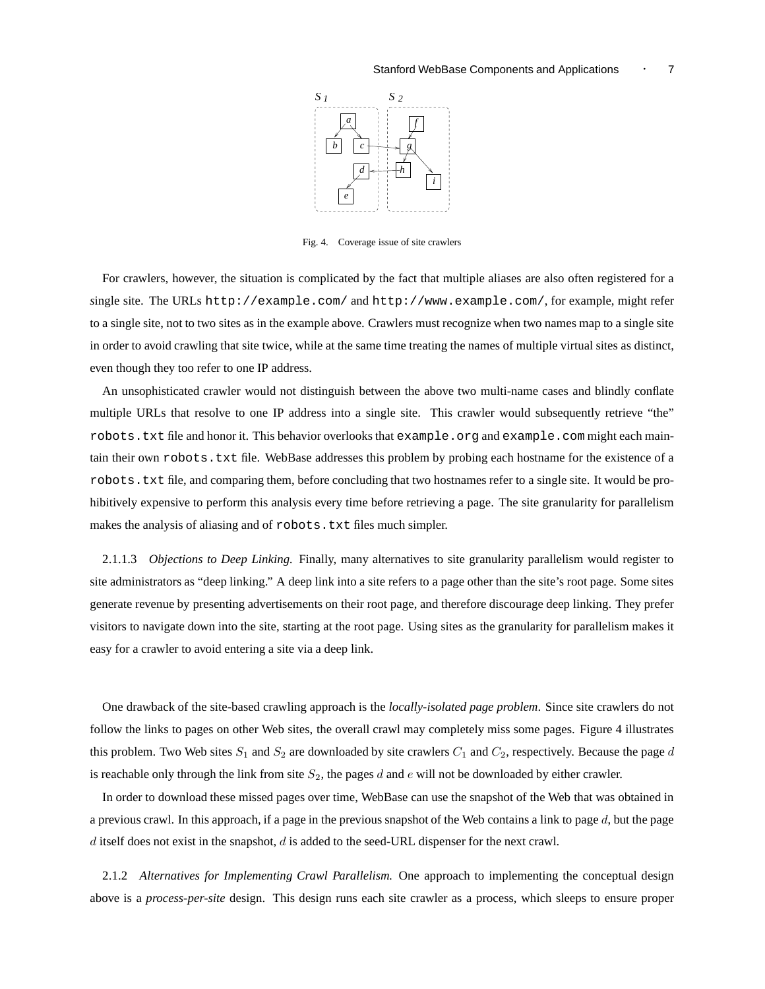## Stanford WebBase Components and Applications • 7



Fig. 4. Coverage issue of site crawlers

For crawlers, however, the situation is complicated by the fact that multiple aliases are also often registered for a *s*ingle site. The URLs http://example.com/ and http://www.example.com/, for example, might refer to a single site, not to two sites as in the example above. Crawlers must recognize when two names map to a single site in order to avoid crawling that site twice, while at the same time treating the names of multiple virtual sites as distinct, even though they too refer to one IP address.

An unsophisticated crawler would not distinguish between the above two multi-name cases and blindly conflate multiple URLs that resolve to one IP address into a single site. This crawler would subsequently retrieve "the" robots.txt file and honor it. This behavior overlooks that example.org and example.com might each maintain their own robots.txt file. WebBase addresses this problem by probing each hostname for the existence of a robots.txt file, and comparing them, before concluding that two hostnames refer to a single site. It would be prohibitively expensive to perform this analysis every time before retrieving a page. The site granularity for parallelism makes the analysis of aliasing and of robots.txt files much simpler.

2.1.1.3 *Objections to Deep Linking.* Finally, many alternatives to site granularity parallelism would register to site administrators as "deep linking." A deep link into a site refers to a page other than the site's root page. Some sites generate revenue by presenting advertisements on their root page, and therefore discourage deep linking. They prefer visitors to navigate down into the site, starting at the root page. Using sites as the granularity for parallelism makes it easy for a crawler to avoid entering a site via a deep link.

One drawback of the site-based crawling approach is the *locally-isolated page problem*. Since site crawlers do not follow the links to pages on other Web sites, the overall crawl may completely miss some pages. Figure 4 illustrates this problem. Two Web sites  $S_1$  and  $S_2$  are downloaded by site crawlers  $C_1$  and  $C_2$ , respectively. Because the page d is reachable only through the link from site  $S_2$ , the pages d and e will not be downloaded by either crawler.

In order to download these missed pages over time, WebBase can use the snapshot of the Web that was obtained in a previous crawl. In this approach, if a page in the previous snapshot of the Web contains a link to page  $d$ , but the page  $d$  itself does not exist in the snapshot,  $d$  is added to the seed-URL dispenser for the next crawl.

2.1.2 *Alternatives for Implementing Crawl Parallelism.* One approach to implementing the conceptual design above is a *process-per-site* design. This design runs each site crawler as a process, which sleeps to ensure proper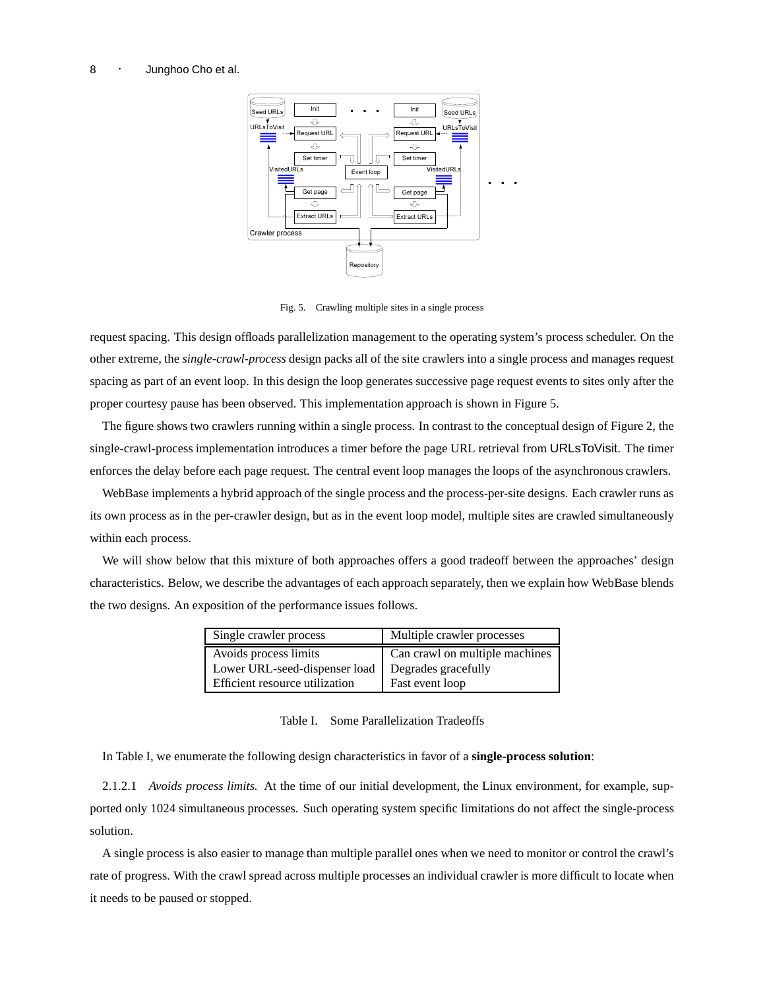### 8 · Junghoo Cho et al.



Fig. 5. Crawling multiple sites in a single process

request spacing. This design offloads parallelization management to the operating system's process scheduler. On the other extreme, the *single-crawl-process* design packs all of the site crawlers into a single process and manages request spacing as part of an event loop. In this design the loop generates successive page request events to sites only after the proper courtesy pause has been observed. This implementation approach is shown in Figure 5.

The figure shows two crawlers running within a single process. In contrast to the conceptual design of Figure 2, the single-crawl-process implementation introduces a timer before the page URL retrieval from URLsToVisit. The timer enforces the delay before each page request. The central event loop manages the loops of the asynchronous crawlers.

WebBase implements a hybrid approach of the single process and the process-per-site designs. Each crawler runs as its own process as in the per-crawler design, but as in the event loop model, multiple sites are crawled simultaneously within each process.

We will show below that this mixture of both approaches offers a good tradeoff between the approaches' design characteristics. Below, we describe the advantages of each approach separately, then we explain how WebBase blends the two designs. An exposition of the performance issues follows.

| Single crawler process         | Multiple crawler processes     |  |
|--------------------------------|--------------------------------|--|
| Avoids process limits          | Can crawl on multiple machines |  |
| Lower URL-seed-dispenser load  | Degrades gracefully            |  |
| Efficient resource utilization | Fast event loop                |  |

Table I. Some Parallelization Tradeoffs

In Table I, we enumerate the following design characteristics in favor of a **single-process solution**:

2.1.2.1 *Avoids process limits.* At the time of our initial development, the Linux environment, for example, supported only 1024 simultaneous processes. Such operating system specific limitations do not affect the single-process solution.

A single process is also easier to manage than multiple parallel ones when we need to monitor or control the crawl's rate of progress. With the crawl spread across multiple processes an individual crawler is more difficult to locate when it needs to be paused or stopped.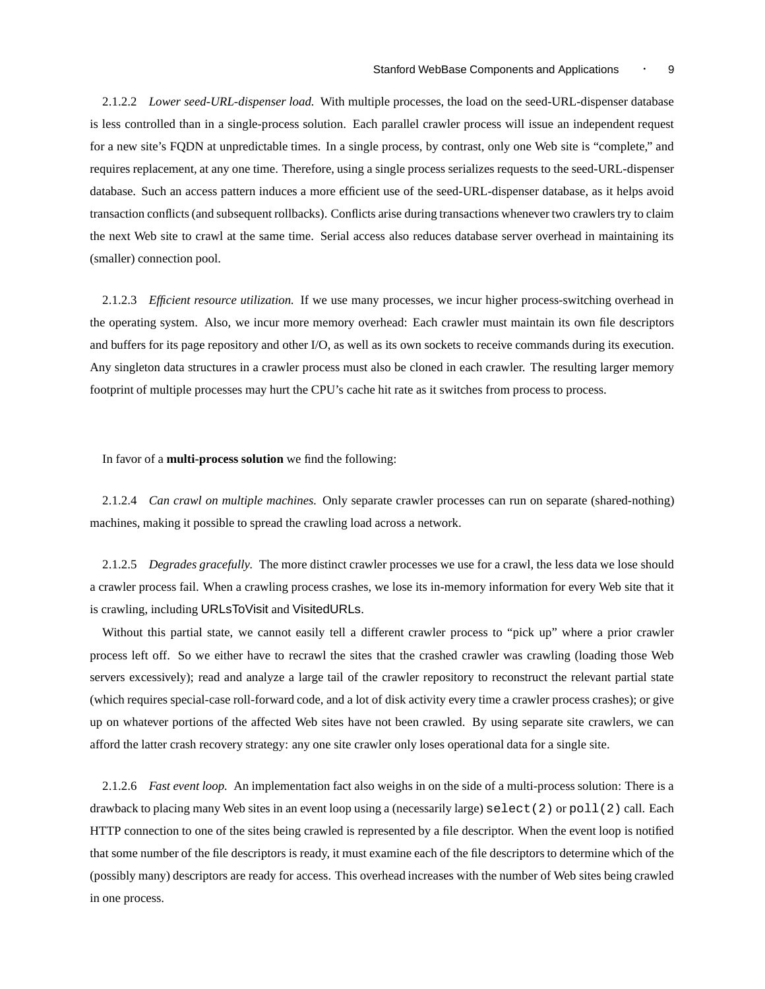2.1.2.2 *Lower seed-URL-dispenser load.* With multiple processes, the load on the seed-URL-dispenser database is less controlled than in a single-process solution. Each parallel crawler process will issue an independent request for a new site's FQDN at unpredictable times. In a single process, by contrast, only one Web site is "complete," and requires replacement, at any one time. Therefore, using a single process serializes requests to the seed-URL-dispenser database. Such an access pattern induces a more efficient use of the seed-URL-dispenser database, as it helps avoid transaction conflicts (and subsequent rollbacks). Conflicts arise during transactions whenever two crawlers try to claim the next Web site to crawl at the same time. Serial access also reduces database server overhead in maintaining its (smaller) connection pool.

2.1.2.3 *Efficient resource utilization.* If we use many processes, we incur higher process-switching overhead in the operating system. Also, we incur more memory overhead: Each crawler must maintain its own file descriptors and buffers for its page repository and other I/O, as well as its own sockets to receive commands during its execution. Any singleton data structures in a crawler process must also be cloned in each crawler. The resulting larger memory footprint of multiple processes may hurt the CPU's cache hit rate as it switches from process to process.

## In favor of a **multi-process solution** we find the following:

2.1.2.4 *Can crawl on multiple machines.* Only separate crawler processes can run on separate (shared-nothing) machines, making it possible to spread the crawling load across a network.

2.1.2.5 *Degrades gracefully.* The more distinct crawler processes we use for a crawl, the less data we lose should a crawler process fail. When a crawling process crashes, we lose its in-memory information for every Web site that it is crawling, including URLsToVisit and VisitedURLs.

Without this partial state, we cannot easily tell a different crawler process to "pick up" where a prior crawler process left off. So we either have to recrawl the sites that the crashed crawler was crawling (loading those Web servers excessively); read and analyze a large tail of the crawler repository to reconstruct the relevant partial state (which requires special-case roll-forward code, and a lot of disk activity every time a crawler process crashes); or give up on whatever portions of the affected Web sites have not been crawled. By using separate site crawlers, we can afford the latter crash recovery strategy: any one site crawler only loses operational data for a single site.

2.1.2.6 *Fast event loop.* An implementation fact also weighs in on the side of a multi-process solution: There is a drawback to placing many Web sites in an event loop using a (necessarily large) select(2) or poll(2) call. Each HTTP connection to one of the sites being crawled is represented by a file descriptor. When the event loop is notified that some number of the file descriptors is ready, it must examine each of the file descriptors to determine which of the (possibly many) descriptors are ready for access. This overhead increases with the number of Web sites being crawled in one process.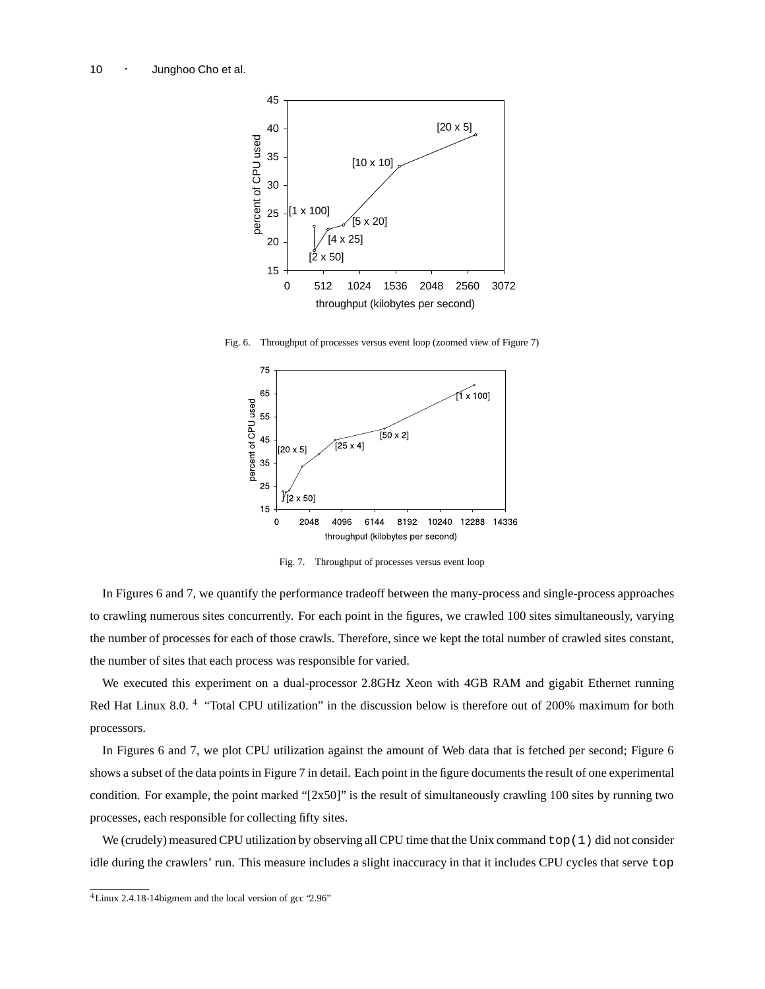

Fig. 6. Throughput of processes versus event loop (zoomed view of Figure 7)



Fig. 7. Throughput of processes versus event loop

In Figures 6 and 7, we quantify the performance tradeoff between the many-process and single-process approaches to crawling numerous sites concurrently. For each point in the figures, we crawled 100 sites simultaneously, varying the number of processes for each of those crawls. Therefore, since we kept the total number of crawled sites constant, the number of sites that each process was responsible for varied.

We executed this experiment on a dual-processor 2.8GHz Xeon with 4GB RAM and gigabit Ethernet running Red Hat Linux 8.0.<sup>4</sup> "Total CPU utilization" in the discussion below is therefore out of 200% maximum for both processors.

In Figures 6 and 7, we plot CPU utilization against the amount of Web data that is fetched per second; Figure 6 shows a subset of the data points in Figure 7 in detail. Each point in the figure documents the result of one experimental condition. For example, the point marked "[2x50]" is the result of simultaneously crawling 100 sites by running two processes, each responsible for collecting fifty sites.

We (crudely) measured CPU utilization by observing all CPU time that the Unix command  $top(1)$  did not consider idle during the crawlers' run. This measure includes a slight inaccuracy in that it includes CPU cycles that serve top

<sup>4</sup>Linux 2.4.18-14bigmem and the local version of gcc "2.96"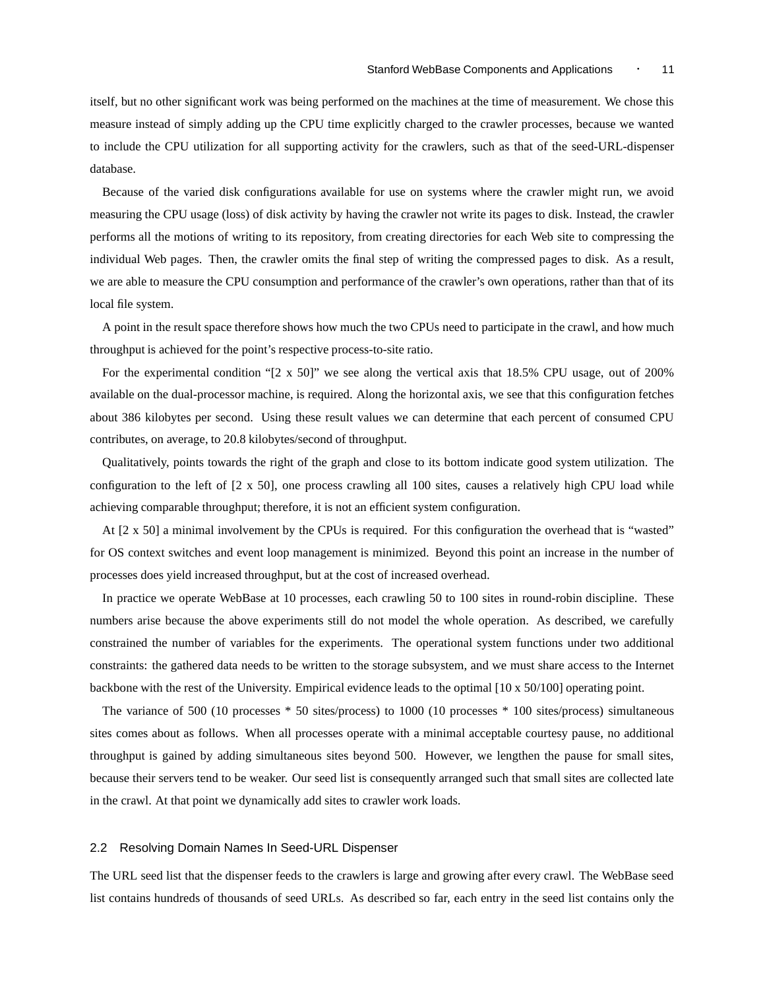itself, but no other significant work was being performed on the machines at the time of measurement. We chose this measure instead of simply adding up the CPU time explicitly charged to the crawler processes, because we wanted to include the CPU utilization for all supporting activity for the crawlers, such as that of the seed-URL-dispenser database.

Because of the varied disk configurations available for use on systems where the crawler might run, we avoid measuring the CPU usage (loss) of disk activity by having the crawler not write its pages to disk. Instead, the crawler performs all the motions of writing to its repository, from creating directories for each Web site to compressing the individual Web pages. Then, the crawler omits the final step of writing the compressed pages to disk. As a result, we are able to measure the CPU consumption and performance of the crawler's own operations, rather than that of its local file system.

A point in the result space therefore shows how much the two CPUs need to participate in the crawl, and how much throughput is achieved for the point's respective process-to-site ratio.

For the experimental condition "[2 x 50]" we see along the vertical axis that 18.5% CPU usage, out of 200% available on the dual-processor machine, is required. Along the horizontal axis, we see that this configuration fetches about 386 kilobytes per second. Using these result values we can determine that each percent of consumed CPU contributes, on average, to 20.8 kilobytes/second of throughput.

Qualitatively, points towards the right of the graph and close to its bottom indicate good system utilization. The configuration to the left of  $[2 \times 50]$ , one process crawling all 100 sites, causes a relatively high CPU load while achieving comparable throughput; therefore, it is not an efficient system configuration.

At [2 x 50] a minimal involvement by the CPUs is required. For this configuration the overhead that is "wasted" for OS context switches and event loop management is minimized. Beyond this point an increase in the number of processes does yield increased throughput, but at the cost of increased overhead.

In practice we operate WebBase at 10 processes, each crawling 50 to 100 sites in round-robin discipline. These numbers arise because the above experiments still do not model the whole operation. As described, we carefully constrained the number of variables for the experiments. The operational system functions under two additional constraints: the gathered data needs to be written to the storage subsystem, and we must share access to the Internet backbone with the rest of the University. Empirical evidence leads to the optimal [10 x 50/100] operating point.

The variance of 500 (10 processes \* 50 sites/process) to 1000 (10 processes \* 100 sites/process) simultaneous sites comes about as follows. When all processes operate with a minimal acceptable courtesy pause, no additional throughput is gained by adding simultaneous sites beyond 500. However, we lengthen the pause for small sites, because their servers tend to be weaker. Our seed list is consequently arranged such that small sites are collected late in the crawl. At that point we dynamically add sites to crawler work loads.

## 2.2 Resolving Domain Names In Seed-URL Dispenser

The URL seed list that the dispenser feeds to the crawlers is large and growing after every crawl. The WebBase seed list contains hundreds of thousands of seed URLs. As described so far, each entry in the seed list contains only the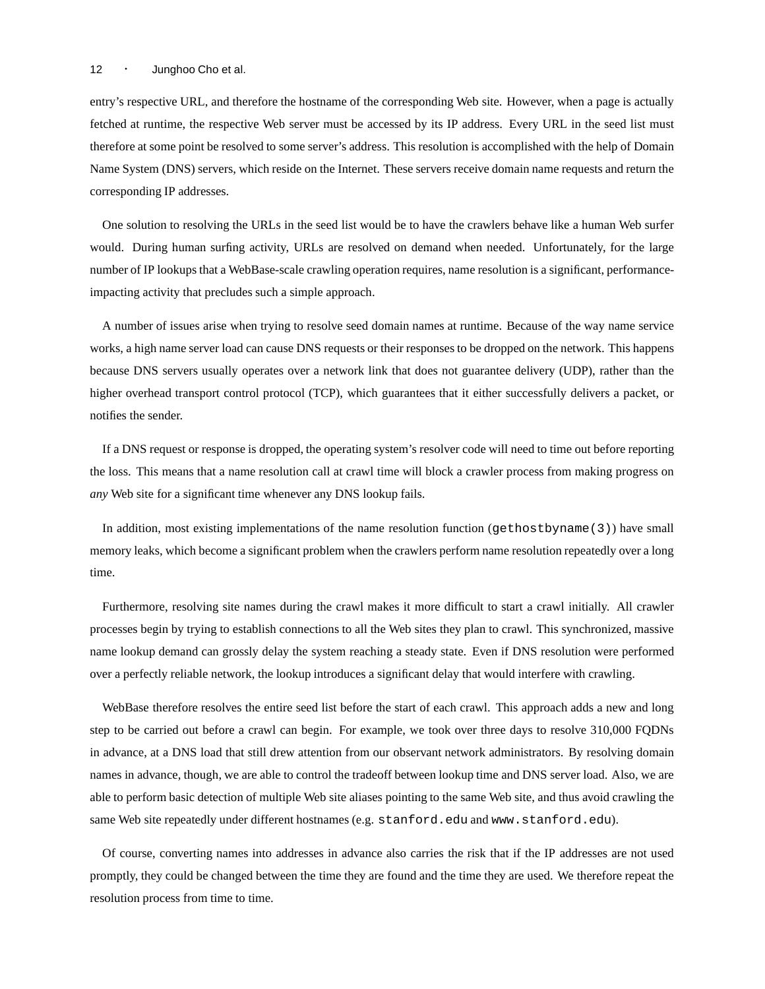entry's respective URL, and therefore the hostname of the corresponding Web site. However, when a page is actually fetched at runtime, the respective Web server must be accessed by its IP address. Every URL in the seed list must therefore at some point be resolved to some server's address. This resolution is accomplished with the help of Domain Name System (DNS) servers, which reside on the Internet. These servers receive domain name requests and return the corresponding IP addresses.

One solution to resolving the URLs in the seed list would be to have the crawlers behave like a human Web surfer would. During human surfing activity, URLs are resolved on demand when needed. Unfortunately, for the large number of IP lookups that a WebBase-scale crawling operation requires, name resolution is a significant, performanceimpacting activity that precludes such a simple approach.

A number of issues arise when trying to resolve seed domain names at runtime. Because of the way name service works, a high name server load can cause DNS requests or their responses to be dropped on the network. This happens because DNS servers usually operates over a network link that does not guarantee delivery (UDP), rather than the higher overhead transport control protocol (TCP), which guarantees that it either successfully delivers a packet, or notifies the sender.

If a DNS request or response is dropped, the operating system's resolver code will need to time out before reporting the loss. This means that a name resolution call at crawl time will block a crawler process from making progress on *any* Web site for a significant time whenever any DNS lookup fails.

In addition, most existing implementations of the name resolution function (gethostbyname(3)) have small memory leaks, which become a significant problem when the crawlers perform name resolution repeatedly over a long time.

Furthermore, resolving site names during the crawl makes it more difficult to start a crawl initially. All crawler processes begin by trying to establish connections to all the Web sites they plan to crawl. This synchronized, massive name lookup demand can grossly delay the system reaching a steady state. Even if DNS resolution were performed over a perfectly reliable network, the lookup introduces a significant delay that would interfere with crawling.

WebBase therefore resolves the entire seed list before the start of each crawl. This approach adds a new and long step to be carried out before a crawl can begin. For example, we took over three days to resolve 310,000 FQDNs in advance, at a DNS load that still drew attention from our observant network administrators. By resolving domain names in advance, though, we are able to control the tradeoff between lookup time and DNS server load. Also, we are able to perform basic detection of multiple Web site aliases pointing to the same Web site, and thus avoid crawling the same Web site repeatedly under different hostnames (e.g. stanford.edu and www.stanford.edu).

Of course, converting names into addresses in advance also carries the risk that if the IP addresses are not used promptly, they could be changed between the time they are found and the time they are used. We therefore repeat the resolution process from time to time.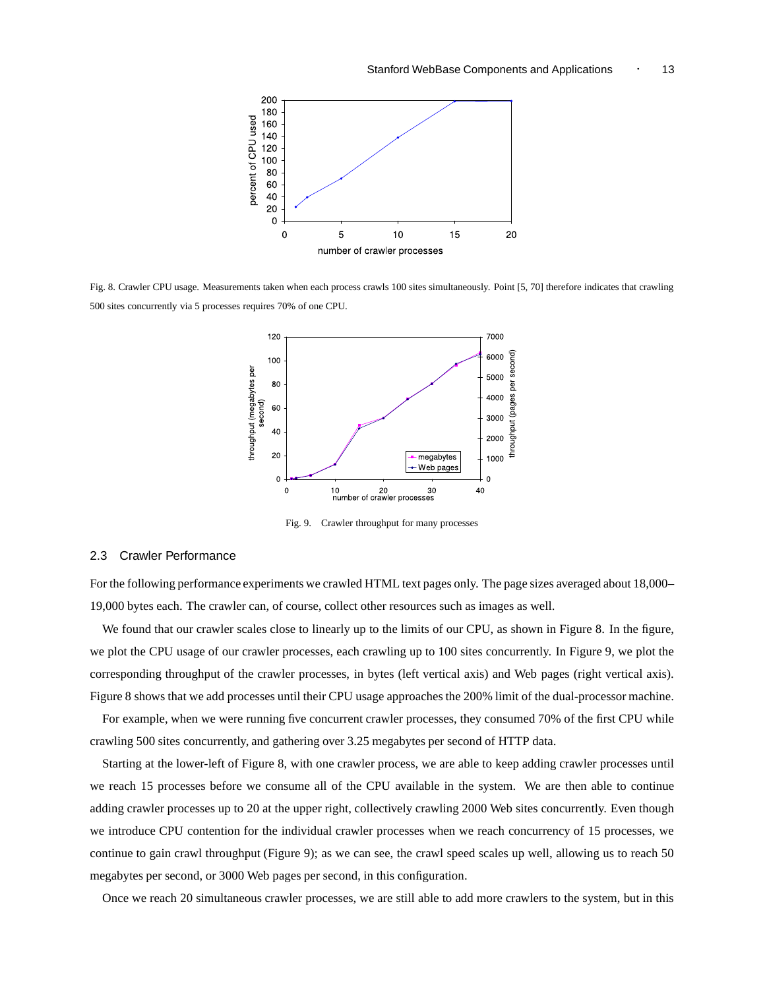

Fig. 8. Crawler CPU usage. Measurements taken when each process crawls 100 sites simultaneously. Point [5, 70] therefore indicates that crawling 500 sites concurrently via 5 processes requires 70% of one CPU.



Fig. 9. Crawler throughput for many processes

# 2.3 Crawler Performance

For the following performance experiments we crawled HTML text pages only. The page sizes averaged about 18,000– 19,000 bytes each. The crawler can, of course, collect other resources such as images as well.

We found that our crawler scales close to linearly up to the limits of our CPU, as shown in Figure 8. In the figure, we plot the CPU usage of our crawler processes, each crawling up to 100 sites concurrently. In Figure 9, we plot the corresponding throughput of the crawler processes, in bytes (left vertical axis) and Web pages (right vertical axis). Figure 8 shows that we add processes until their CPU usage approaches the 200% limit of the dual-processor machine.

For example, when we were running five concurrent crawler processes, they consumed 70% of the first CPU while crawling 500 sites concurrently, and gathering over 3.25 megabytes per second of HTTP data.

Starting at the lower-left of Figure 8, with one crawler process, we are able to keep adding crawler processes until we reach 15 processes before we consume all of the CPU available in the system. We are then able to continue adding crawler processes up to 20 at the upper right, collectively crawling 2000 Web sites concurrently. Even though we introduce CPU contention for the individual crawler processes when we reach concurrency of 15 processes, we continue to gain crawl throughput (Figure 9); as we can see, the crawl speed scales up well, allowing us to reach 50 megabytes per second, or 3000 Web pages per second, in this configuration.

Once we reach 20 simultaneous crawler processes, we are still able to add more crawlers to the system, but in this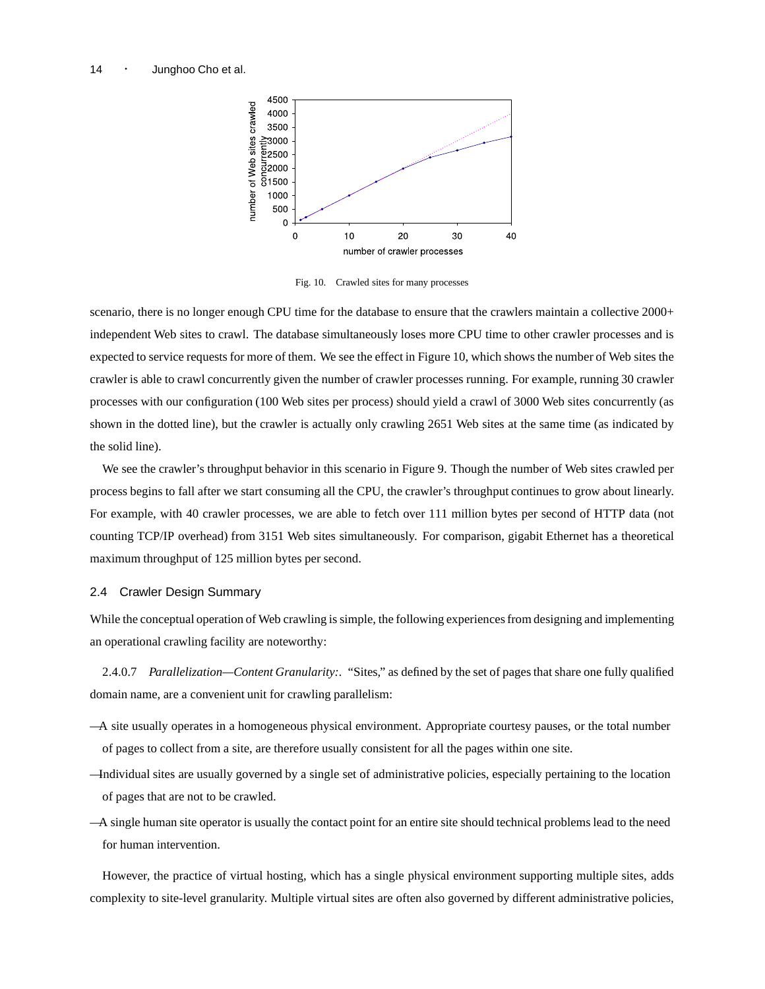

Fig. 10. Crawled sites for many processes

scenario, there is no longer enough CPU time for the database to ensure that the crawlers maintain a collective 2000+ independent Web sites to crawl. The database simultaneously loses more CPU time to other crawler processes and is expected to service requests for more of them. We see the effect in Figure 10, which shows the number of Web sites the crawler is able to crawl concurrently given the number of crawler processes running. For example, running 30 crawler processes with our configuration (100 Web sites per process) should yield a crawl of 3000 Web sites concurrently (as shown in the dotted line), but the crawler is actually only crawling 2651 Web sites at the same time (as indicated by the solid line).

We see the crawler's throughput behavior in this scenario in Figure 9. Though the number of Web sites crawled per process begins to fall after we start consuming all the CPU, the crawler's throughput continues to grow about linearly. For example, with 40 crawler processes, we are able to fetch over 111 million bytes per second of HTTP data (not counting TCP/IP overhead) from 3151 Web sites simultaneously. For comparison, gigabit Ethernet has a theoretical maximum throughput of 125 million bytes per second.

## 2.4 Crawler Design Summary

While the conceptual operation of Web crawling is simple, the following experiences from designing and implementing an operational crawling facility are noteworthy:

2.4.0.7 *Parallelization—Content Granularity:.* "Sites," as defined by the set of pages that share one fully qualified domain name, are a convenient unit for crawling parallelism:

- —A site usually operates in a homogeneous physical environment. Appropriate courtesy pauses, or the total number of pages to collect from a site, are therefore usually consistent for all the pages within one site.
- —Individual sites are usually governed by a single set of administrative policies, especially pertaining to the location of pages that are not to be crawled.
- —A single human site operator is usually the contact point for an entire site should technical problems lead to the need for human intervention.

However, the practice of virtual hosting, which has a single physical environment supporting multiple sites, adds complexity to site-level granularity. Multiple virtual sites are often also governed by different administrative policies,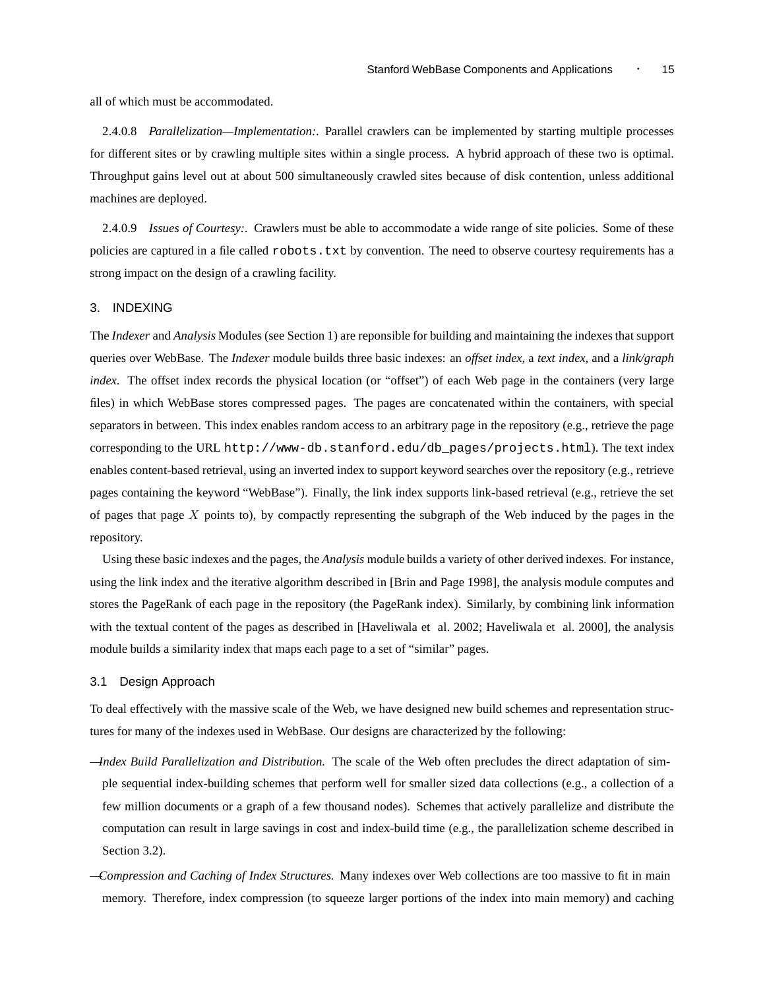all of which must be accommodated.

2.4.0.8 *Parallelization—Implementation:.* Parallel crawlers can be implemented by starting multiple processes for different sites or by crawling multiple sites within a single process. A hybrid approach of these two is optimal. Throughput gains level out at about 500 simultaneously crawled sites because of disk contention, unless additional machines are deployed.

2.4.0.9 *Issues of Courtesy:.* Crawlers must be able to accommodate a wide range of site policies. Some of these policies are captured in a file called robots.txt by convention. The need to observe courtesy requirements has a strong impact on the design of a crawling facility.

## 3. INDEXING

The *Indexer* and *Analysis* Modules (see Section 1) are reponsible for building and maintaining the indexes that support queries over WebBase. The *Indexer* module builds three basic indexes: an *offset index*, a *text index*, and a *link/graph index*. The offset index records the physical location (or "offset") of each Web page in the containers (very large files) in which WebBase stores compressed pages. The pages are concatenated within the containers, with special separators in between. This index enables random access to an arbitrary page in the repository (e.g., retrieve the page corresponding to the URL http://www-db.stanford.edu/db\_pages/projects.html). The text index enables content-based retrieval, using an inverted index to support keyword searches over the repository (e.g., retrieve pages containing the keyword "WebBase"). Finally, the link index supports link-based retrieval (e.g., retrieve the set of pages that page  $X$  points to), by compactly representing the subgraph of the Web induced by the pages in the repository.

Using these basic indexes and the pages, the *Analysis* module builds a variety of other derived indexes. For instance, using the link index and the iterative algorithm described in [Brin and Page 1998], the analysis module computes and stores the PageRank of each page in the repository (the PageRank index). Similarly, by combining link information with the textual content of the pages as described in [Haveliwala et al. 2002; Haveliwala et al. 2000], the analysis module builds a similarity index that maps each page to a set of "similar" pages.

## 3.1 Design Approach

To deal effectively with the massive scale of the Web, we have designed new build schemes and representation structures for many of the indexes used in WebBase. Our designs are characterized by the following:

- —*Index Build Parallelization and Distribution.* The scale of the Web often precludes the direct adaptation of simple sequential index-building schemes that perform well for smaller sized data collections (e.g., a collection of a few million documents or a graph of a few thousand nodes). Schemes that actively parallelize and distribute the computation can result in large savings in cost and index-build time (e.g., the parallelization scheme described in Section 3.2).
- —*Compression and Caching of Index Structures.* Many indexes over Web collections are too massive to fit in main memory. Therefore, index compression (to squeeze larger portions of the index into main memory) and caching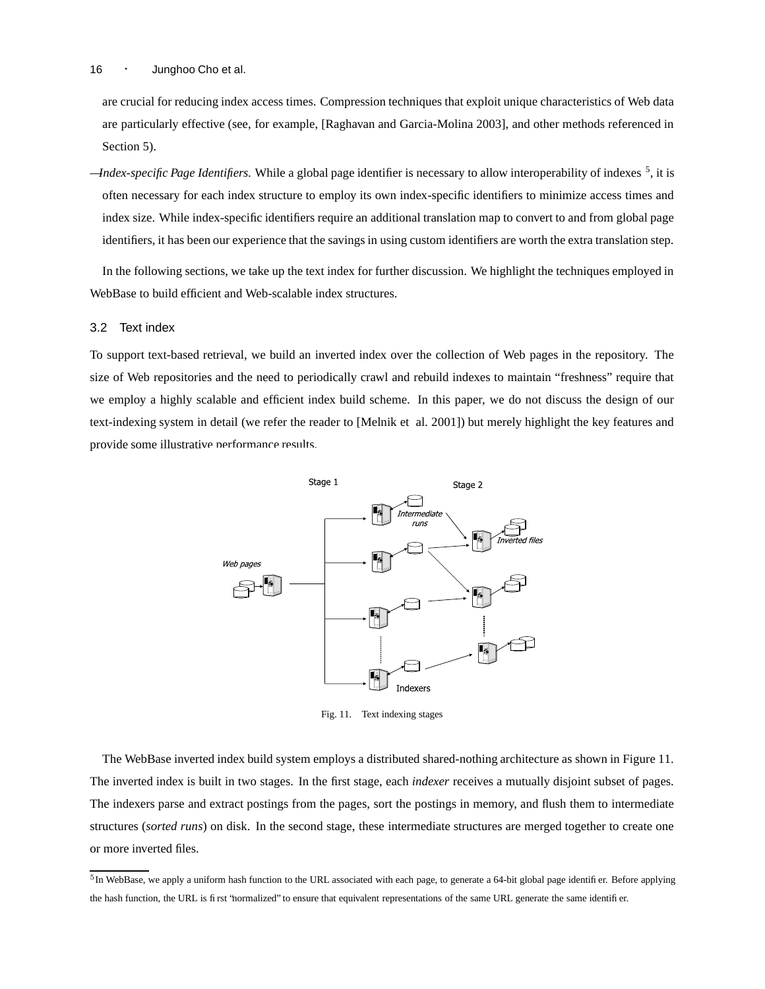are crucial for reducing index access times. Compression techniques that exploit unique characteristics of Web data are particularly effective (see, for example, [Raghavan and Garcia-Molina 2003], and other methods referenced in Section 5).

—*Index-specific Page Identifiers.* While a global page identifier is necessary to allow interoperability of indexes <sup>5</sup> , it is often necessary for each index structure to employ its own index-specific identifiers to minimize access times and index size. While index-specific identifiers require an additional translation map to convert to and from global page identifiers, it has been our experience that the savings in using custom identifiers are worth the extra translation step.

In the following sections, we take up the text index for further discussion. We highlight the techniques employed in WebBase to build efficient and Web-scalable index structures.

## 3.2 Text index

To support text-based retrieval, we build an inverted index over the collection of Web pages in the repository. The size of Web repositories and the need to periodically crawl and rebuild indexes to maintain "freshness" require that we employ a highly scalable and efficient index build scheme. In this paper, we do not discuss the design of our text-indexing system in detail (we refer the reader to [Melnik et al. 2001]) but merely highlight the key features and provide some illustrative performance results.



Fig. 11. Text indexing stages

The WebBase inverted index build system employs a distributed shared-nothing architecture as shown in Figure 11. The inverted index is built in two stages. In the first stage, each *indexer* receives a mutually disjoint subset of pages. The indexers parse and extract postings from the pages, sort the postings in memory, and flush them to intermediate structures (*sorted runs*) on disk. In the second stage, these intermediate structures are merged together to create one or more inverted files.

<sup>&</sup>lt;sup>5</sup>In WebBase, we apply a uniform hash function to the URL associated with each page, to generate a 64-bit global page identifier. Before applying the hash function, the URL is first "normalized" to ensure that equivalent representations of the same URL generate the same identifier.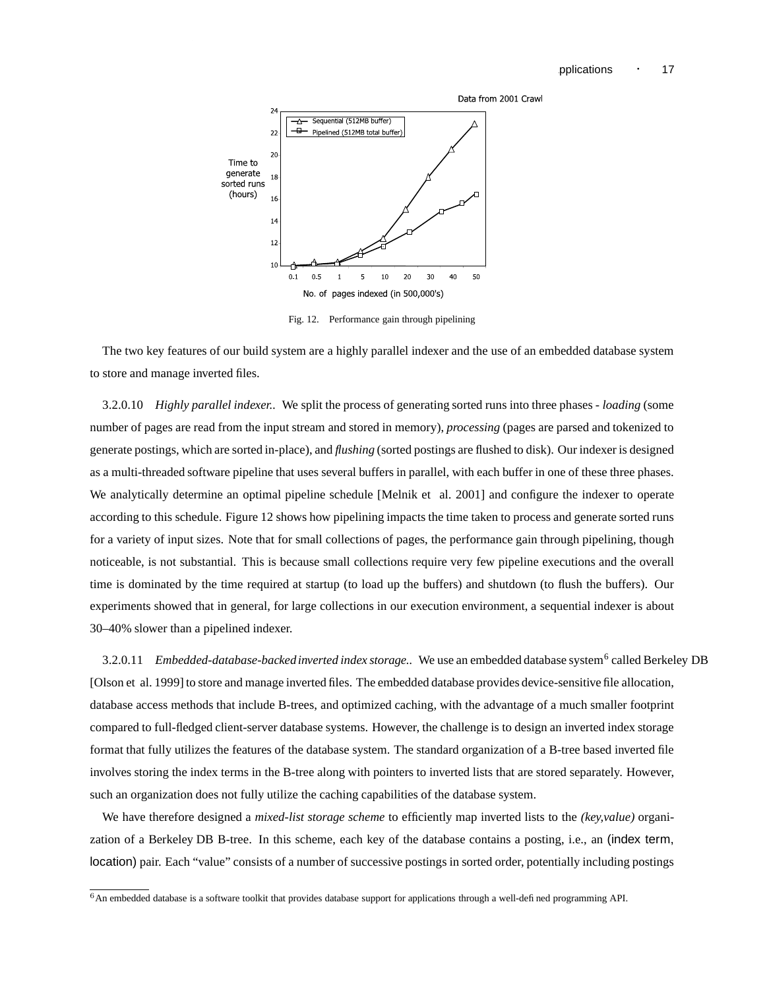

Fig. 12. Performance gain through pipelining

The two key features of our build system are a highly parallel indexer and the use of an embedded database system to store and manage inverted files.

3.2.0.10 *Highly parallel indexer..* We split the process of generating sorted runs into three phases - *loading* (some number of pages are read from the input stream and stored in memory), *processing* (pages are parsed and tokenized to generate postings, which are sorted in-place), and *flushing* (sorted postings are flushed to disk). Our indexer is designed as a multi-threaded software pipeline that uses several buffers in parallel, with each buffer in one of these three phases. We analytically determine an optimal pipeline schedule [Melnik et al. 2001] and configure the indexer to operate according to this schedule. Figure 12 shows how pipelining impacts the time taken to process and generate sorted runs for a variety of input sizes. Note that for small collections of pages, the performance gain through pipelining, though noticeable, is not substantial. This is because small collections require very few pipeline executions and the overall time is dominated by the time required at startup (to load up the buffers) and shutdown (to flush the buffers). Our experiments showed that in general, for large collections in our execution environment, a sequential indexer is about 30–40% slower than a pipelined indexer.

3.2.0.11 *Embedded-database-backedinverted index storage..* We use an embedded database system<sup>6</sup> called Berkeley DB [Olson et al. 1999] to store and manage inverted files. The embedded database provides device-sensitive file allocation, database access methods that include B-trees, and optimized caching, with the advantage of a much smaller footprint compared to full-fledged client-server database systems. However, the challenge is to design an inverted index storage format that fully utilizes the features of the database system. The standard organization of a B-tree based inverted file involves storing the index terms in the B-tree along with pointers to inverted lists that are stored separately. However, such an organization does not fully utilize the caching capabilities of the database system.

We have therefore designed a *mixed-list storage scheme* to efficiently map inverted lists to the *(key,value)* organization of a Berkeley DB B-tree. In this scheme, each key of the database contains a posting, i.e., an (index term, location) pair. Each "value" consists of a number of successive postings in sorted order, potentially including postings

 $6$ An embedded database is a software toolkit that provides database support for applications through a well-defined programming API.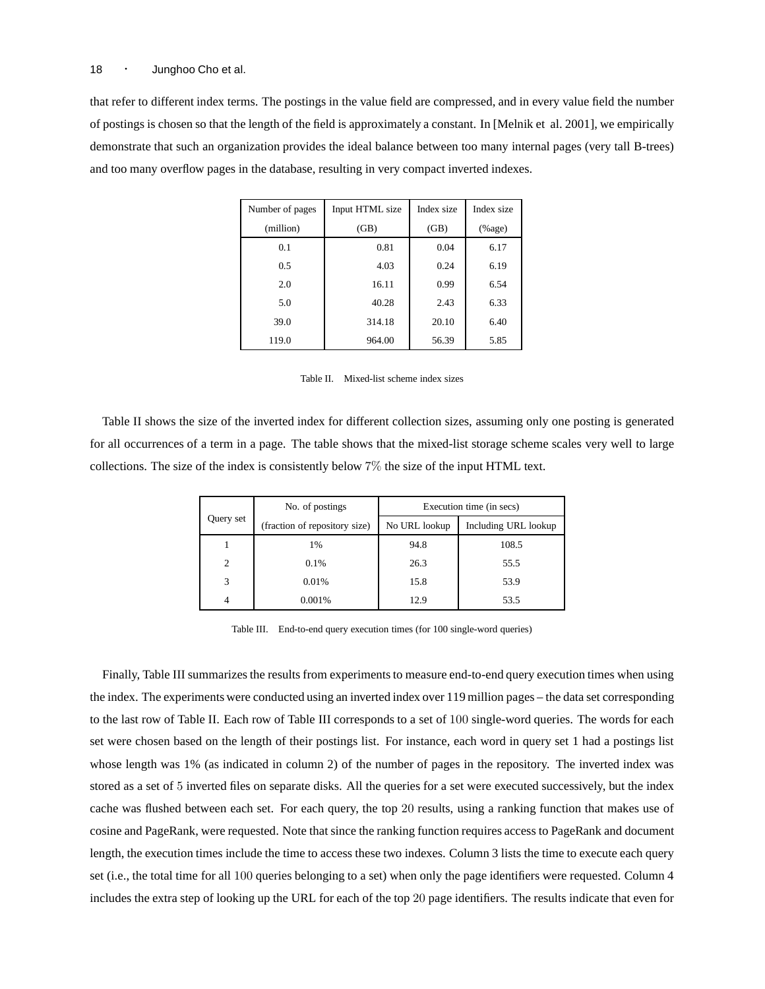that refer to different index terms. The postings in the value field are compressed, and in every value field the number of postings is chosen so that the length of the field is approximately a constant. In [Melnik et al. 2001], we empirically demonstrate that such an organization provides the ideal balance between too many internal pages (very tall B-trees) and too many overflow pages in the database, resulting in very compact inverted indexes.

| Number of pages   | Input HTML size<br>Index size |       | Index size  |  |
|-------------------|-------------------------------|-------|-------------|--|
| (GB)<br>(million) |                               | (GB)  | $%$ age $)$ |  |
| 0.1               | 0.81                          | 0.04  | 6.17        |  |
| 0.5               | 4.03                          | 0.24  | 6.19        |  |
| 2.0               | 16.11                         | 0.99  | 6.54        |  |
| 5.0               | 40.28                         | 2.43  | 6.33        |  |
| 39.0              | 314.18                        | 20.10 | 6.40        |  |
| 119.0             | 964.00                        | 56.39 | 5.85        |  |

Table II. Mixed-list scheme index sizes

Table II shows the size of the inverted index for different collection sizes, assuming only one posting is generated for all occurrences of a term in a page. The table shows that the mixed-list storage scheme scales very well to large collections. The size of the index is consistently below 7% the size of the input HTML text.

|                | No. of postings               | Execution time (in secs) |                      |
|----------------|-------------------------------|--------------------------|----------------------|
| Query set      | (fraction of repository size) | No URL lookup            | Including URL lookup |
|                | 1%                            | 94.8                     | 108.5                |
| $\mathfrak{D}$ | 0.1%                          | 26.3                     | 55.5                 |
| 3              | 0.01%                         | 15.8                     | 53.9                 |
|                | 0.001%                        | 12.9                     | 53.5                 |

Table III. End-to-end query execution times (for 100 single-word queries)

Finally, Table III summarizes the results from experiments to measure end-to-end query execution times when using the index. The experiments were conducted using an inverted index over 119 million pages – the data set corresponding to the last row of Table II. Each row of Table III corresponds to a set of 100 single-word queries. The words for each set were chosen based on the length of their postings list. For instance, each word in query set 1 had a postings list whose length was 1% (as indicated in column 2) of the number of pages in the repository. The inverted index was stored as a set of 5 inverted files on separate disks. All the queries for a set were executed successively, but the index cache was flushed between each set. For each query, the top 20 results, using a ranking function that makes use of cosine and PageRank, were requested. Note that since the ranking function requires access to PageRank and document length, the execution times include the time to access these two indexes. Column 3 lists the time to execute each query set (i.e., the total time for all 100 queries belonging to a set) when only the page identifiers were requested. Column 4 includes the extra step of looking up the URL for each of the top 20 page identifiers. The results indicate that even for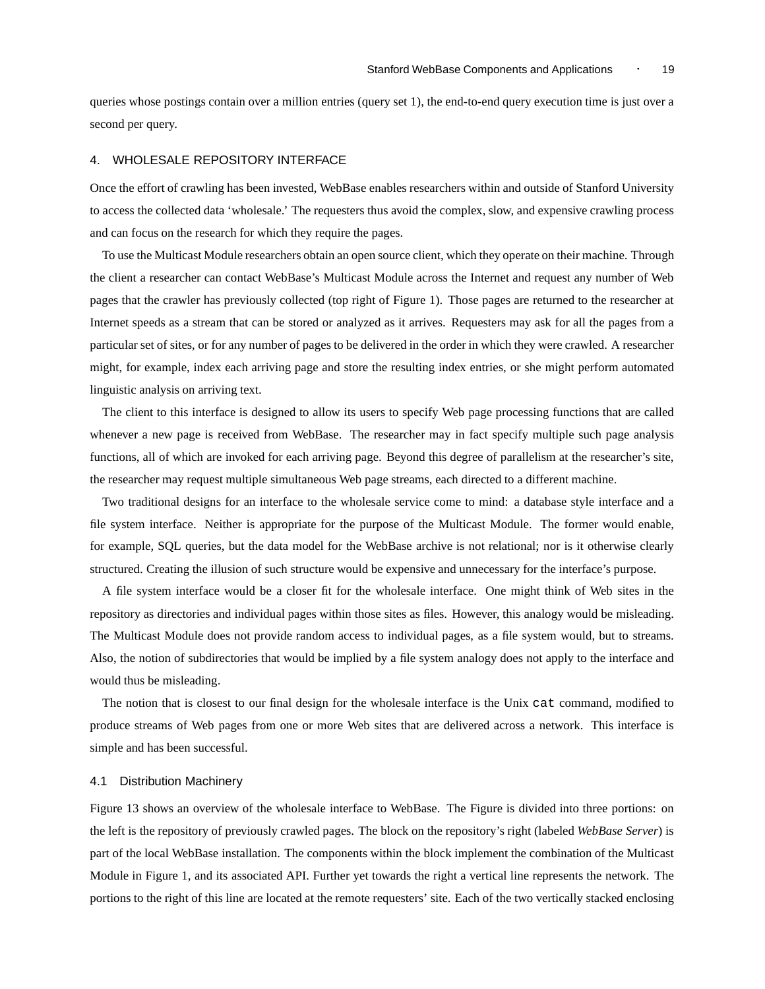queries whose postings contain over a million entries (query set 1), the end-to-end query execution time is just over a second per query.

## 4. WHOLESALE REPOSITORY INTERFACE

Once the effort of crawling has been invested, WebBase enables researchers within and outside of Stanford University to access the collected data 'wholesale.' The requesters thus avoid the complex, slow, and expensive crawling process and can focus on the research for which they require the pages.

To use the Multicast Module researchers obtain an open source client, which they operate on their machine. Through the client a researcher can contact WebBase's Multicast Module across the Internet and request any number of Web pages that the crawler has previously collected (top right of Figure 1). Those pages are returned to the researcher at Internet speeds as a stream that can be stored or analyzed as it arrives. Requesters may ask for all the pages from a particular set of sites, or for any number of pages to be delivered in the order in which they were crawled. A researcher might, for example, index each arriving page and store the resulting index entries, or she might perform automated linguistic analysis on arriving text.

The client to this interface is designed to allow its users to specify Web page processing functions that are called whenever a new page is received from WebBase. The researcher may in fact specify multiple such page analysis functions, all of which are invoked for each arriving page. Beyond this degree of parallelism at the researcher's site, the researcher may request multiple simultaneous Web page streams, each directed to a different machine.

Two traditional designs for an interface to the wholesale service come to mind: a database style interface and a file system interface. Neither is appropriate for the purpose of the Multicast Module. The former would enable, for example, SQL queries, but the data model for the WebBase archive is not relational; nor is it otherwise clearly structured. Creating the illusion of such structure would be expensive and unnecessary for the interface's purpose.

A file system interface would be a closer fit for the wholesale interface. One might think of Web sites in the repository as directories and individual pages within those sites as files. However, this analogy would be misleading. The Multicast Module does not provide random access to individual pages, as a file system would, but to streams. Also, the notion of subdirectories that would be implied by a file system analogy does not apply to the interface and would thus be misleading.

The notion that is closest to our final design for the wholesale interface is the Unix cat command, modified to produce streams of Web pages from one or more Web sites that are delivered across a network. This interface is simple and has been successful.

## 4.1 Distribution Machinery

Figure 13 shows an overview of the wholesale interface to WebBase. The Figure is divided into three portions: on the left is the repository of previously crawled pages. The block on the repository's right (labeled *WebBase Server*) is part of the local WebBase installation. The components within the block implement the combination of the Multicast Module in Figure 1, and its associated API. Further yet towards the right a vertical line represents the network. The portions to the right of this line are located at the remote requesters' site. Each of the two vertically stacked enclosing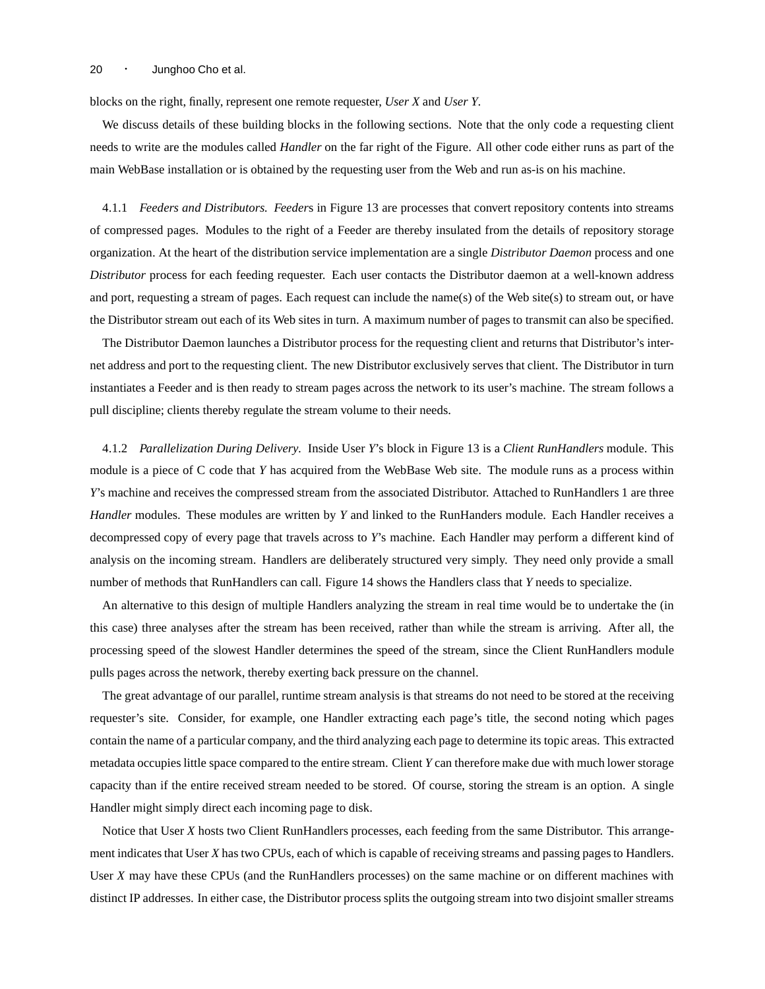blocks on the right, finally, represent one remote requester, *User X* and *User Y*.

We discuss details of these building blocks in the following sections. Note that the only code a requesting client needs to write are the modules called *Handler* on the far right of the Figure. All other code either runs as part of the main WebBase installation or is obtained by the requesting user from the Web and run as-is on his machine.

4.1.1 *Feeders and Distributors. Feeder*s in Figure 13 are processes that convert repository contents into streams of compressed pages. Modules to the right of a Feeder are thereby insulated from the details of repository storage organization. At the heart of the distribution service implementation are a single *Distributor Daemon* process and one *Distributor* process for each feeding requester. Each user contacts the Distributor daemon at a well-known address and port, requesting a stream of pages. Each request can include the name(s) of the Web site(s) to stream out, or have the Distributor stream out each of its Web sites in turn. A maximum number of pages to transmit can also be specified.

The Distributor Daemon launches a Distributor process for the requesting client and returns that Distributor's internet address and port to the requesting client. The new Distributor exclusively serves that client. The Distributor in turn instantiates a Feeder and is then ready to stream pages across the network to its user's machine. The stream follows a pull discipline; clients thereby regulate the stream volume to their needs.

4.1.2 *Parallelization During Delivery.* Inside User *Y*'s block in Figure 13 is a *Client RunHandlers* module. This module is a piece of C code that *Y* has acquired from the WebBase Web site. The module runs as a process within *Y*'s machine and receives the compressed stream from the associated Distributor. Attached to RunHandlers 1 are three *Handler* modules. These modules are written by *Y* and linked to the RunHanders module. Each Handler receives a decompressed copy of every page that travels across to *Y*'s machine. Each Handler may perform a different kind of analysis on the incoming stream. Handlers are deliberately structured very simply. They need only provide a small number of methods that RunHandlers can call. Figure 14 shows the Handlers class that *Y* needs to specialize.

An alternative to this design of multiple Handlers analyzing the stream in real time would be to undertake the (in this case) three analyses after the stream has been received, rather than while the stream is arriving. After all, the processing speed of the slowest Handler determines the speed of the stream, since the Client RunHandlers module pulls pages across the network, thereby exerting back pressure on the channel.

The great advantage of our parallel, runtime stream analysis is that streams do not need to be stored at the receiving requester's site. Consider, for example, one Handler extracting each page's title, the second noting which pages contain the name of a particular company, and the third analyzing each page to determine its topic areas. This extracted metadata occupies little space compared to the entire stream. Client *Y* can therefore make due with much lower storage capacity than if the entire received stream needed to be stored. Of course, storing the stream is an option. A single Handler might simply direct each incoming page to disk.

Notice that User *X* hosts two Client RunHandlers processes, each feeding from the same Distributor. This arrangement indicates that User *X* has two CPUs, each of which is capable of receiving streams and passing pages to Handlers. User *X* may have these CPUs (and the RunHandlers processes) on the same machine or on different machines with distinct IP addresses. In either case, the Distributor process splits the outgoing stream into two disjoint smaller streams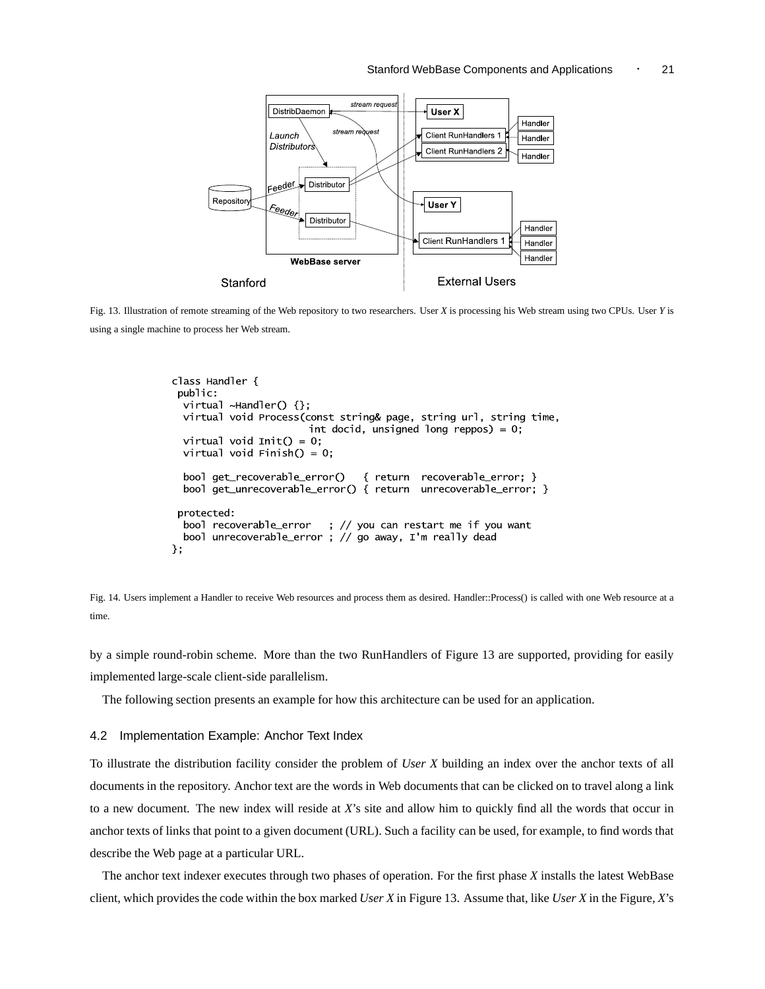

Fig. 13. Illustration of remote streaming of the Web repository to two researchers. User *X* is processing his Web stream using two CPUs. User *Y* is using a single machine to process her Web stream.

```
class Handler {
public:
  virtual ~Handler() \{}\;
  virtual void Process(const string& page, string url, string time,
                        int docid, unsigned long reppos) = 0;
  virtual void Init() = 0;
  virtual void Finish() = 0;bool get_recoverable_error()
                                 { return recoverable_error; }
  bool get_unrecoverable_error() { return unrecoverable_error; }
 protected:
                           ; // you can restart me if you want
 bool recoverable_error
  bool unrecoverable_error ; // go away, I'm really dead
};
```
Fig. 14. Users implement a Handler to receive Web resources and process them as desired. Handler::Process() is called with one Web resource at a time.

by a simple round-robin scheme. More than the two RunHandlers of Figure 13 are supported, providing for easily implemented large-scale client-side parallelism.

The following section presents an example for how this architecture can be used for an application.

#### 4.2 Implementation Example: Anchor Text Index

To illustrate the distribution facility consider the problem of *User X* building an index over the anchor texts of all documents in the repository. Anchor text are the words in Web documents that can be clicked on to travel along a link to a new document. The new index will reside at *X*'s site and allow him to quickly find all the words that occur in anchor texts of links that point to a given document (URL). Such a facility can be used, for example, to find words that describe the Web page at a particular URL.

The anchor text indexer executes through two phases of operation. For the first phase *X* installs the latest WebBase client, which provides the code within the box marked *User X* in Figure 13. Assume that, like *User X* in the Figure, *X*'s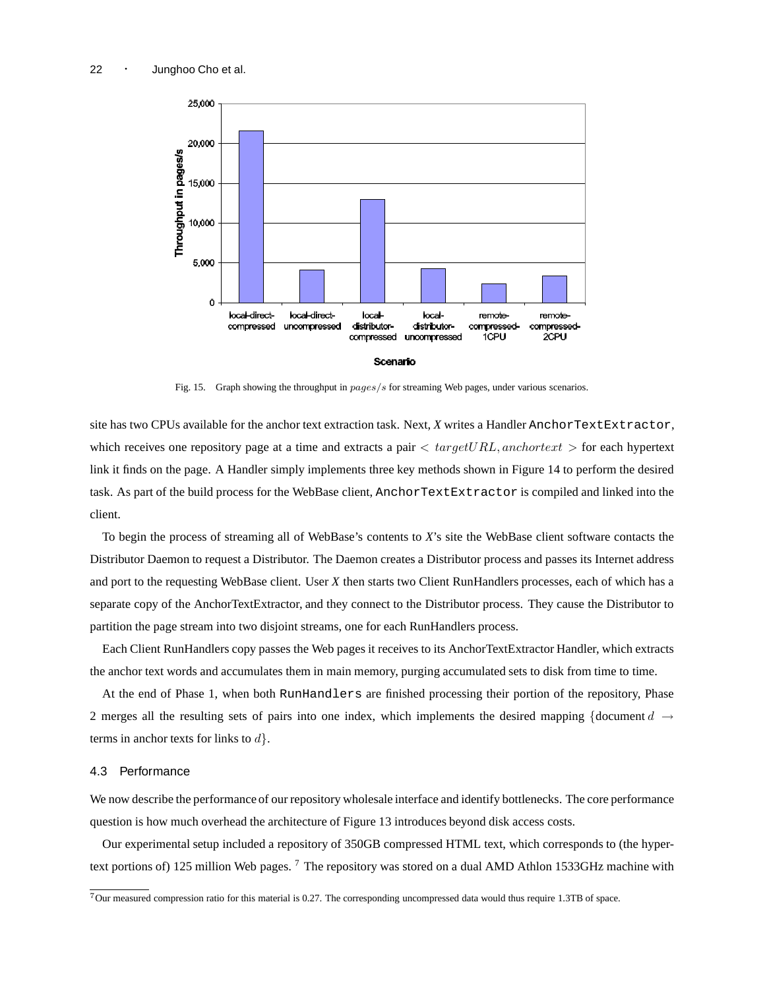

Fig. 15. Graph showing the throughput in pages/s for streaming Web pages, under various scenarios.

site has two CPUs available for the anchor text extraction task. Next, *X* writes a Handler AnchorTextExtractor, which receives one repository page at a time and extracts a pair  $\langle targetURL, anchortext \rangle$  for each hypertext link it finds on the page. A Handler simply implements three key methods shown in Figure 14 to perform the desired task. As part of the build process for the WebBase client, AnchorTextExtractor is compiled and linked into the client.

To begin the process of streaming all of WebBase's contents to *X*'s site the WebBase client software contacts the Distributor Daemon to request a Distributor. The Daemon creates a Distributor process and passes its Internet address and port to the requesting WebBase client. User *X* then starts two Client RunHandlers processes, each of which has a separate copy of the AnchorTextExtractor, and they connect to the Distributor process. They cause the Distributor to partition the page stream into two disjoint streams, one for each RunHandlers process.

Each Client RunHandlers copy passes the Web pages it receives to its AnchorTextExtractor Handler, which extracts the anchor text words and accumulates them in main memory, purging accumulated sets to disk from time to time.

At the end of Phase 1, when both RunHandlers are finished processing their portion of the repository, Phase 2 merges all the resulting sets of pairs into one index, which implements the desired mapping {document  $d \rightarrow$ terms in anchor texts for links to  $d$ .

## 4.3 Performance

We now describe the performance of our repository wholesale interface and identify bottlenecks. The core performance question is how much overhead the architecture of Figure 13 introduces beyond disk access costs.

Our experimental setup included a repository of 350GB compressed HTML text, which corresponds to (the hypertext portions of) 125 million Web pages. <sup>7</sup> The repository was stored on a dual AMD Athlon 1533GHz machine with

<sup>7</sup>Our measured compression ratio for this material is 0.27. The corresponding uncompressed data would thus require 1.3TB of space.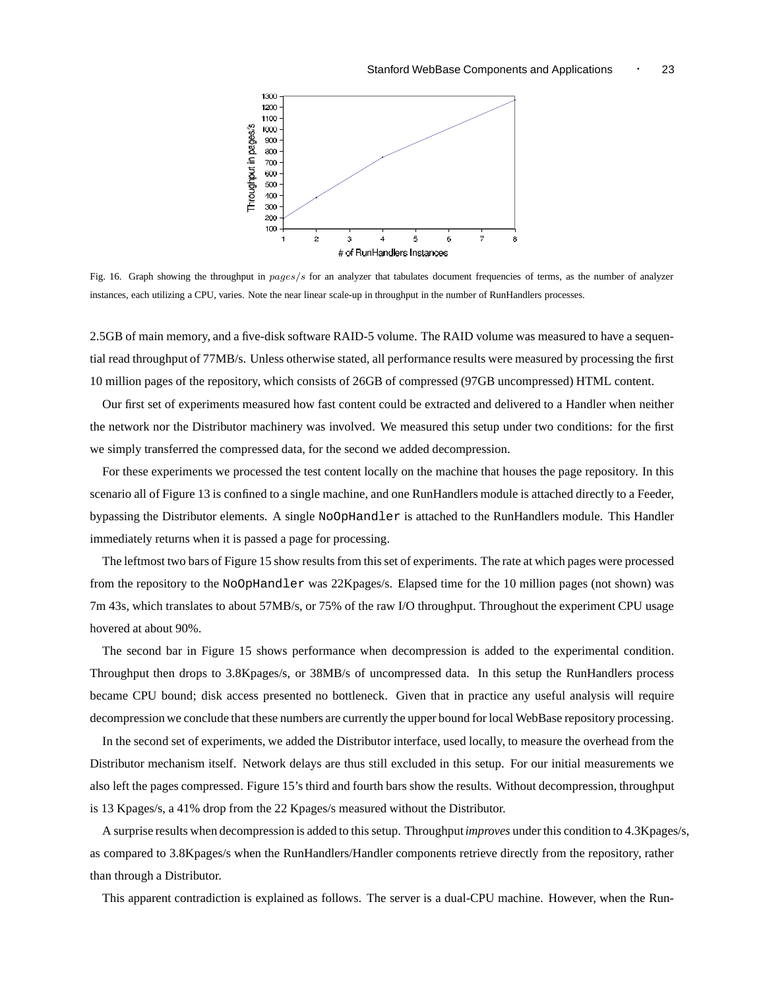

Fig. 16. Graph showing the throughput in  $paqes/s$  for an analyzer that tabulates document frequencies of terms, as the number of analyzer instances, each utilizing a CPU, varies. Note the near linear scale-up in throughput in the number of RunHandlers processes.

2.5GB of main memory, and a five-disk software RAID-5 volume. The RAID volume was measured to have a sequential read throughput of 77MB/s. Unless otherwise stated, all performance results were measured by processing the first 10 million pages of the repository, which consists of 26GB of compressed (97GB uncompressed) HTML content.

Our first set of experiments measured how fast content could be extracted and delivered to a Handler when neither the network nor the Distributor machinery was involved. We measured this setup under two conditions: for the first we simply transferred the compressed data, for the second we added decompression.

For these experiments we processed the test content locally on the machine that houses the page repository. In this scenario all of Figure 13 is confined to a single machine, and one RunHandlers module is attached directly to a Feeder, bypassing the Distributor elements. A single NoOpHandler is attached to the RunHandlers module. This Handler immediately returns when it is passed a page for processing.

The leftmost two bars of Figure 15 show results from this set of experiments. The rate at which pages were processed from the repository to the NoOpHandler was 22Kpages/s. Elapsed time for the 10 million pages (not shown) was 7m 43s, which translates to about 57MB/s, or 75% of the raw I/O throughput. Throughout the experiment CPU usage hovered at about 90%.

The second bar in Figure 15 shows performance when decompression is added to the experimental condition. Throughput then drops to 3.8Kpages/s, or 38MB/s of uncompressed data. In this setup the RunHandlers process became CPU bound; disk access presented no bottleneck. Given that in practice any useful analysis will require decompression we conclude that these numbers are currently the upper bound for local WebBase repository processing.

In the second set of experiments, we added the Distributor interface, used locally, to measure the overhead from the Distributor mechanism itself. Network delays are thus still excluded in this setup. For our initial measurements we also left the pages compressed. Figure 15's third and fourth bars show the results. Without decompression, throughput is 13 Kpages/s, a 41% drop from the 22 Kpages/s measured without the Distributor.

A surprise results when decompression is added to this setup. Throughput*improves* under this condition to 4.3Kpages/s, as compared to 3.8Kpages/s when the RunHandlers/Handler components retrieve directly from the repository, rather than through a Distributor.

This apparent contradiction is explained as follows. The server is a dual-CPU machine. However, when the Run-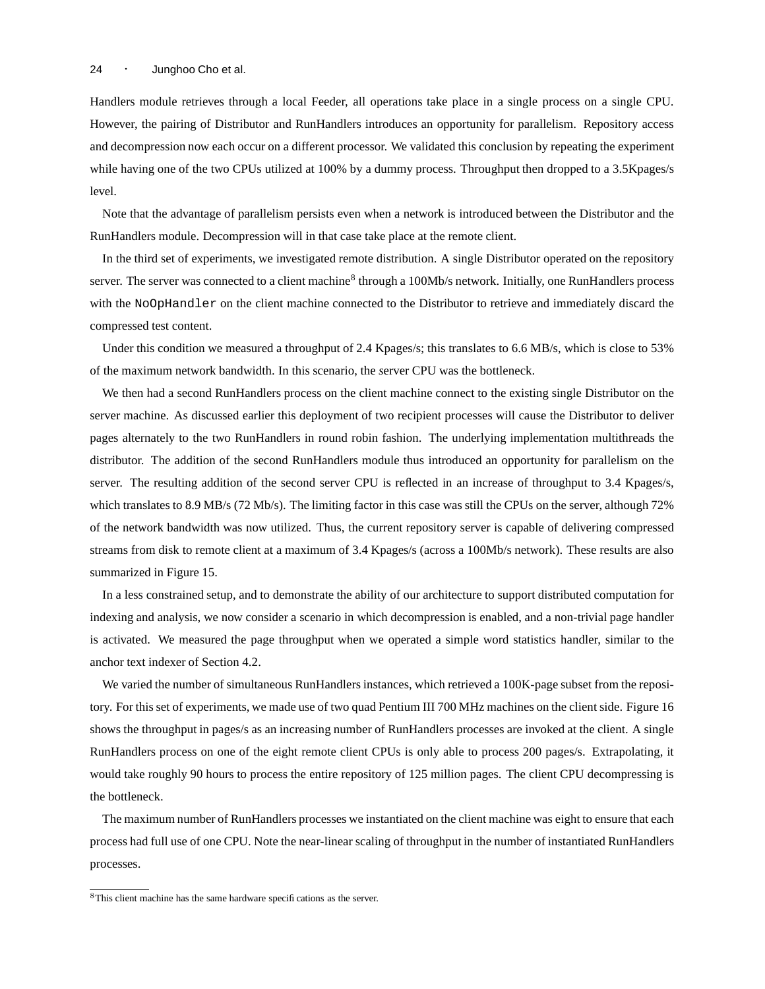Handlers module retrieves through a local Feeder, all operations take place in a single process on a single CPU. However, the pairing of Distributor and RunHandlers introduces an opportunity for parallelism. Repository access and decompression now each occur on a different processor. We validated this conclusion by repeating the experiment while having one of the two CPUs utilized at 100% by a dummy process. Throughput then dropped to a 3.5Kpages/s level.

Note that the advantage of parallelism persists even when a network is introduced between the Distributor and the RunHandlers module. Decompression will in that case take place at the remote client.

In the third set of experiments, we investigated remote distribution. A single Distributor operated on the repository server. The server was connected to a client machine<sup>8</sup> through a 100Mb/s network. Initially, one RunHandlers process with the NoOpHandler on the client machine connected to the Distributor to retrieve and immediately discard the compressed test content.

Under this condition we measured a throughput of 2.4 Kpages/s; this translates to 6.6 MB/s, which is close to 53% of the maximum network bandwidth. In this scenario, the *s*erver CPU was the bottleneck.

We then had a second RunHandlers process on the client machine connect to the existing single Distributor on the server machine. As discussed earlier this deployment of two recipient processes will cause the Distributor to deliver pages alternately to the two RunHandlers in round robin fashion. The underlying implementation multithreads the distributor. The addition of the second RunHandlers module thus introduced an opportunity for parallelism on the server. The resulting addition of the second server CPU is reflected in an increase of throughput to 3.4 Kpages/s, which translates to 8.9 MB/s (72 Mb/s). The limiting factor in this case was still the CPUs on the server, although 72% of the network bandwidth was now utilized. Thus, the current repository server is capable of delivering compressed streams from disk to remote client at a maximum of 3.4 Kpages/s (across a 100Mb/s network). These results are also summarized in Figure 15.

In a less constrained setup, and to demonstrate the ability of our architecture to support distributed computation for indexing and analysis, we now consider a scenario in which decompression is enabled, and a non-trivial page handler is activated. We measured the page throughput when we operated a simple word statistics handler, similar to the anchor text indexer of Section 4.2.

We varied the number of simultaneous RunHandlers instances, which retrieved a 100K-page subset from the repository. For this set of experiments, we made use of two quad Pentium III 700 MHz machines on the client side. Figure 16 shows the throughput in pages/s as an increasing number of RunHandlers processes are invoked at the client. A single RunHandlers process on one of the eight remote client CPUs is only able to process 200 pages/s. Extrapolating, it would take roughly 90 hours to process the entire repository of 125 million pages. The client CPU decompressing is the bottleneck.

The maximum number of RunHandlers processes we instantiated on the client machine was eight to ensure that each process had full use of one CPU. Note the near-linear scaling of throughput in the number of instantiated RunHandlers processes.

<sup>&</sup>lt;sup>8</sup>This client machine has the same hardware specifications as the server.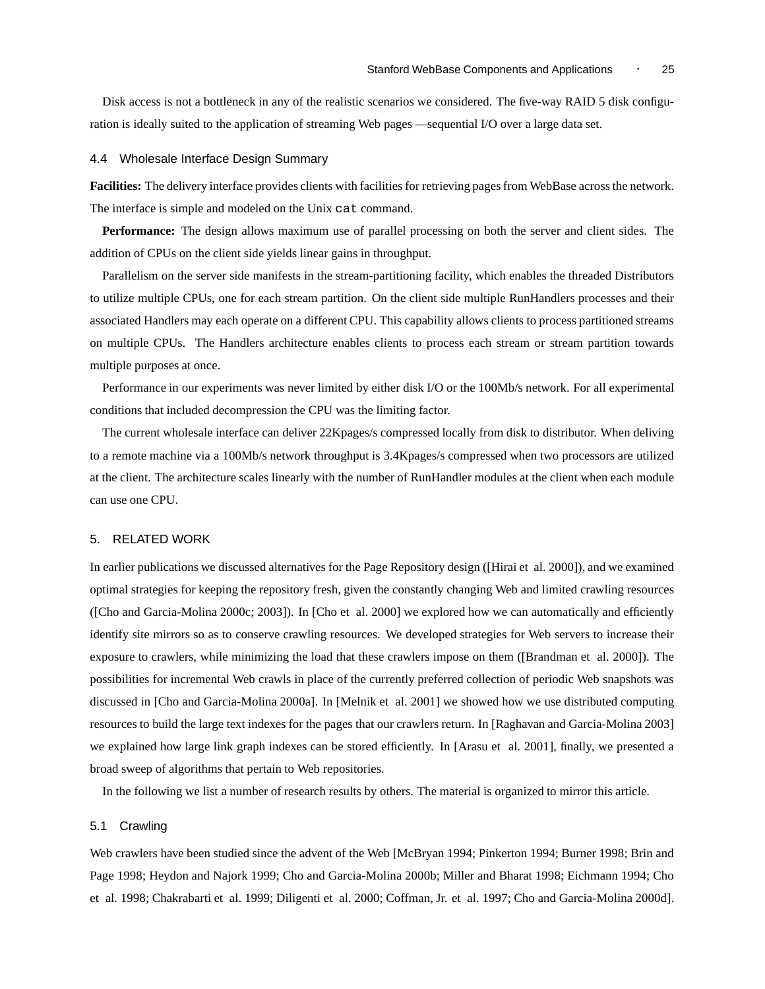Disk access is not a bottleneck in any of the realistic scenarios we considered. The five-way RAID 5 disk configuration is ideally suited to the application of streaming Web pages — sequential I/O over a large data set.

## 4.4 Wholesale Interface Design Summary

**Facilities:** The delivery interface provides clients with facilities for retrieving pagesfrom WebBase across the network. The interface is simple and modeled on the Unix cat command.

**Performance:** The design allows maximum use of parallel processing on both the server and client sides. The addition of CPUs on the client side yields linear gains in throughput.

Parallelism on the server side manifests in the stream-partitioning facility, which enables the threaded Distributors to utilize multiple CPUs, one for each stream partition. On the client side multiple RunHandlers processes and their associated Handlers may each operate on a different CPU. This capability allows clients to process partitioned streams on multiple CPUs. The Handlers architecture enables clients to process each stream or stream partition towards multiple purposes at once.

Performance in our experiments was never limited by either disk I/O or the 100Mb/s network. For all experimental conditions that included decompression the CPU was the limiting factor.

The current wholesale interface can deliver 22Kpages/s compressed locally from disk to distributor. When deliving to a remote machine via a 100Mb/s network throughput is 3.4Kpages/s compressed when two processors are utilized at the client. The architecture scales linearly with the number of RunHandler modules at the client when each module can use one CPU.

## 5. RELATED WORK

In earlier publications we discussed alternatives for the Page Repository design ([Hirai et al. 2000]), and we examined optimal strategies for keeping the repository fresh, given the constantly changing Web and limited crawling resources ([Cho and Garcia-Molina 2000c; 2003]). In [Cho et al. 2000] we explored how we can automatically and efficiently identify site mirrors so as to conserve crawling resources. We developed strategies for Web servers to increase their exposure to crawlers, while minimizing the load that these crawlers impose on them ([Brandman et al. 2000]). The possibilities for incremental Web crawls in place of the currently preferred collection of periodic Web snapshots was discussed in [Cho and Garcia-Molina 2000a]. In [Melnik et al. 2001] we showed how we use distributed computing resources to build the large text indexes for the pages that our crawlers return. In [Raghavan and Garcia-Molina 2003] we explained how large link graph indexes can be stored efficiently. In [Arasu et al. 2001], finally, we presented a broad sweep of algorithms that pertain to Web repositories.

In the following we list a number of research results by others. The material is organized to mirror this article.

## 5.1 Crawling

Web crawlers have been studied since the advent of the Web [McBryan 1994; Pinkerton 1994; Burner 1998; Brin and Page 1998; Heydon and Najork 1999; Cho and Garcia-Molina 2000b; Miller and Bharat 1998; Eichmann 1994; Cho et al. 1998; Chakrabarti et al. 1999; Diligenti et al. 2000; Coffman, Jr. et al. 1997; Cho and Garcia-Molina 2000d].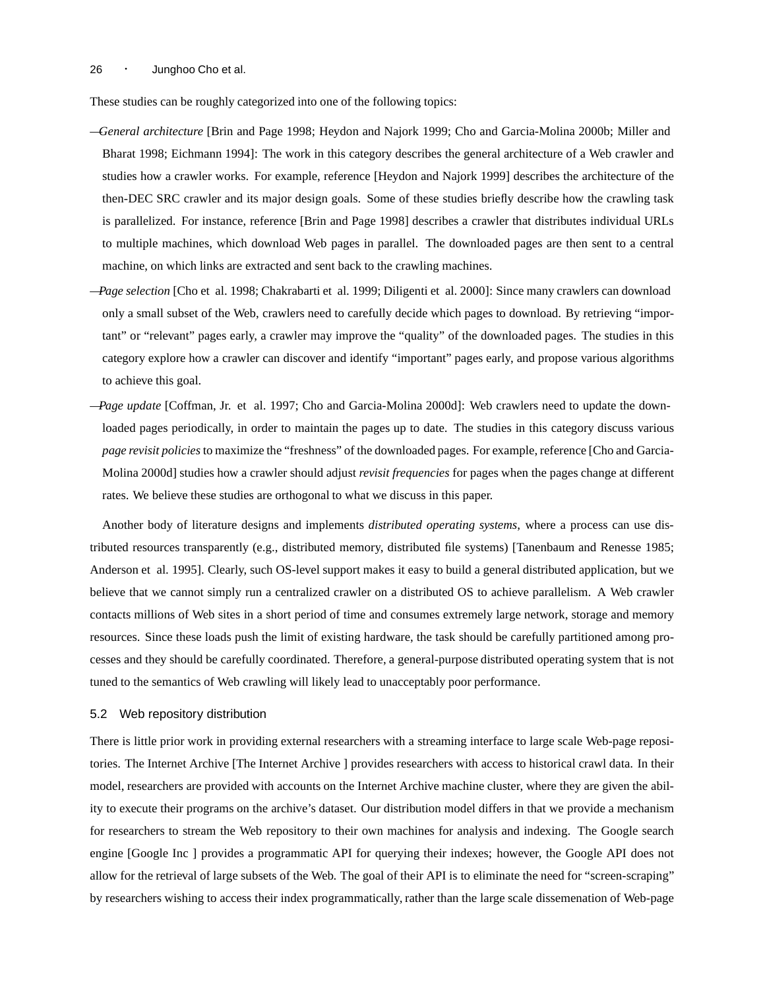These studies can be roughly categorized into one of the following topics:

- —*General architecture* [Brin and Page 1998; Heydon and Najork 1999; Cho and Garcia-Molina 2000b; Miller and Bharat 1998; Eichmann 1994]: The work in this category describes the general architecture of a Web crawler and studies how a crawler works. For example, reference [Heydon and Najork 1999] describes the architecture of the then-DEC SRC crawler and its major design goals. Some of these studies briefly describe how the crawling task is parallelized. For instance, reference [Brin and Page 1998] describes a crawler that distributes individual URLs to multiple machines, which download Web pages in parallel. The downloaded pages are then sent to a central machine, on which links are extracted and sent back to the crawling machines.
- —*Page selection* [Cho et al. 1998; Chakrabarti et al. 1999; Diligenti et al. 2000]: Since many crawlers can download only a small subset of the Web, crawlers need to carefully decide which pages to download. By retrieving "important" or "relevant" pages early, a crawler may improve the "quality" of the downloaded pages. The studies in this category explore how a crawler can discover and identify "important" pages early, and propose various algorithms to achieve this goal.
- —*Page update* [Coffman, Jr. et al. 1997; Cho and Garcia-Molina 2000d]: Web crawlers need to update the downloaded pages periodically, in order to maintain the pages up to date. The studies in this category discuss various *page revisit policies* to maximize the "freshness" of the downloaded pages. For example, reference [Cho and Garcia-Molina 2000d] studies how a crawler should adjust *revisit frequencies* for pages when the pages change at different rates. We believe these studies are orthogonal to what we discuss in this paper.

Another body of literature designs and implements *distributed operating systems*, where a process can use distributed resources transparently (e.g., distributed memory, distributed file systems) [Tanenbaum and Renesse 1985; Anderson et al. 1995]. Clearly, such OS-level support makes it easy to build a general distributed application, but we believe that we cannot simply run a centralized crawler on a distributed OS to achieve parallelism. A Web crawler contacts millions of Web sites in a short period of time and consumes extremely large network, storage and memory resources. Since these loads push the limit of existing hardware, the task should be carefully partitioned among processes and they should be carefully coordinated. Therefore, a general-purpose distributed operating system that is not tuned to the semantics of Web crawling will likely lead to unacceptably poor performance.

## 5.2 Web repository distribution

There is little prior work in providing external researchers with a streaming interface to large scale Web-page repositories. The Internet Archive [The Internet Archive ] provides researchers with access to historical crawl data. In their model, researchers are provided with accounts on the Internet Archive machine cluster, where they are given the ability to execute their programs on the archive's dataset. Our distribution model differs in that we provide a mechanism for researchers to stream the Web repository to their own machines for analysis and indexing. The Google search engine [Google Inc ] provides a programmatic API for querying their indexes; however, the Google API does not allow for the retrieval of large subsets of the Web. The goal of their API is to eliminate the need for "screen-scraping" by researchers wishing to access their index programmatically, rather than the large scale dissemenation of Web-page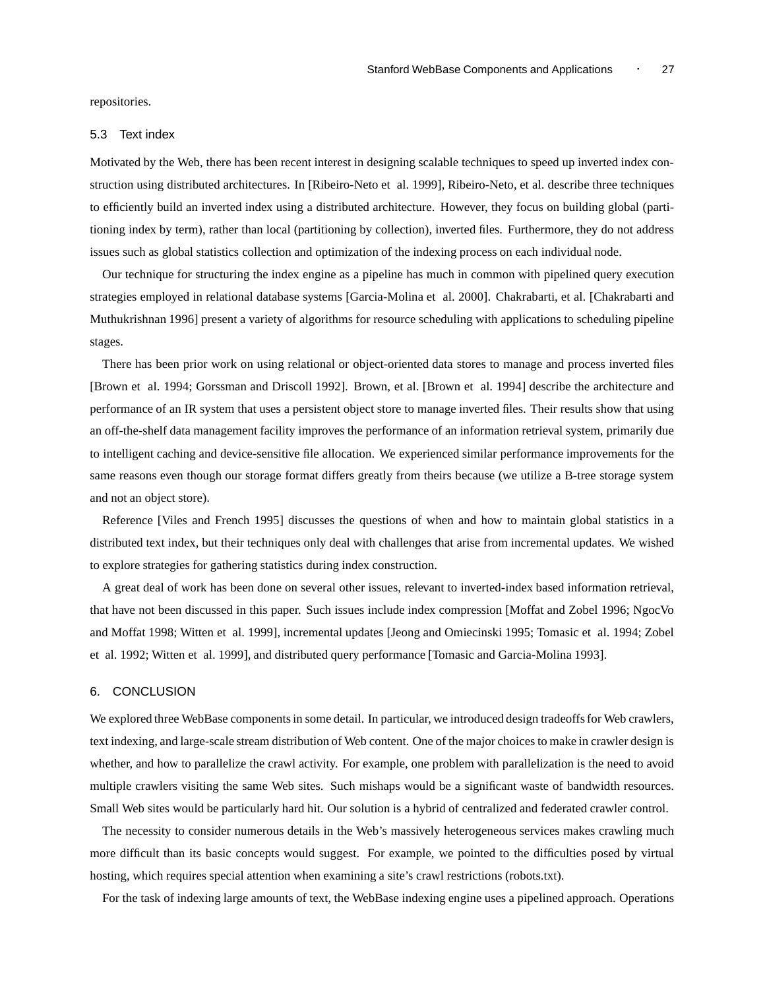repositories.

## 5.3 Text index

Motivated by the Web, there has been recent interest in designing scalable techniques to speed up inverted index construction using distributed architectures. In [Ribeiro-Neto et al. 1999], Ribeiro-Neto, et al. describe three techniques to efficiently build an inverted index using a distributed architecture. However, they focus on building global (partitioning index by term), rather than local (partitioning by collection), inverted files. Furthermore, they do not address issues such as global statistics collection and optimization of the indexing process on each individual node.

Our technique for structuring the index engine as a pipeline has much in common with pipelined query execution strategies employed in relational database systems [Garcia-Molina et al. 2000]. Chakrabarti, et al. [Chakrabarti and Muthukrishnan 1996] present a variety of algorithms for resource scheduling with applications to scheduling pipeline stages.

There has been prior work on using relational or object-oriented data stores to manage and process inverted files [Brown et al. 1994; Gorssman and Driscoll 1992]. Brown, et al. [Brown et al. 1994] describe the architecture and performance of an IR system that uses a persistent object store to manage inverted files. Their results show that using an off-the-shelf data management facility improves the performance of an information retrieval system, primarily due to intelligent caching and device-sensitive file allocation. We experienced similar performance improvements for the same reasons even though our storage format differs greatly from theirs because (we utilize a B-tree storage system and not an object store).

Reference [Viles and French 1995] discusses the questions of when and how to maintain global statistics in a distributed text index, but their techniques only deal with challenges that arise from incremental updates. We wished to explore strategies for gathering statistics during index construction.

A great deal of work has been done on several other issues, relevant to inverted-index based information retrieval, that have not been discussed in this paper. Such issues include index compression [Moffat and Zobel 1996; NgocVo and Moffat 1998; Witten et al. 1999], incremental updates [Jeong and Omiecinski 1995; Tomasic et al. 1994; Zobel et al. 1992; Witten et al. 1999], and distributed query performance [Tomasic and Garcia-Molina 1993].

## 6. CONCLUSION

We explored three WebBase components in some detail. In particular, we introduced design tradeoffs for Web crawlers, text indexing, and large-scale stream distribution of Web content. One of the major choices to make in crawler design is whether, and how to parallelize the crawl activity. For example, one problem with parallelization is the need to avoid multiple crawlers visiting the same Web sites. Such mishaps would be a significant waste of bandwidth resources. Small Web sites would be particularly hard hit. Our solution is a hybrid of centralized and federated crawler control.

The necessity to consider numerous details in the Web's massively heterogeneous services makes crawling much more difficult than its basic concepts would suggest. For example, we pointed to the difficulties posed by virtual hosting, which requires special attention when examining a site's crawl restrictions (robots.txt).

For the task of indexing large amounts of text, the WebBase indexing engine uses a pipelined approach. Operations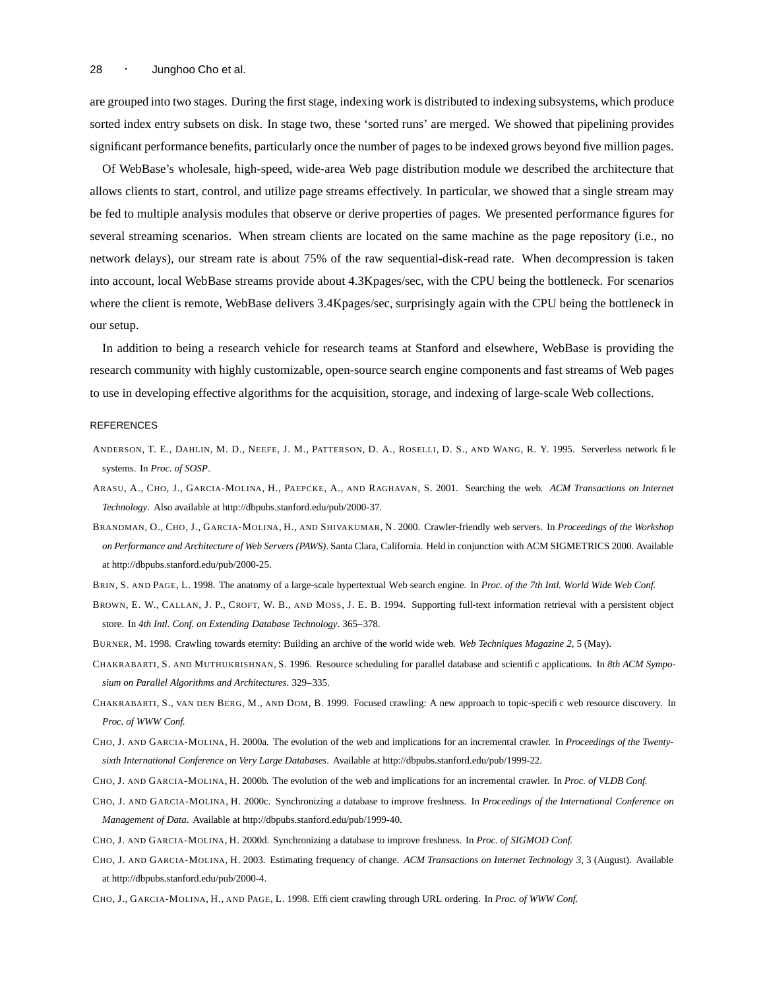are grouped into two stages. During the first stage, indexing work is distributed to indexing subsystems, which produce sorted index entry subsets on disk. In stage two, these 'sorted runs' are merged. We showed that pipelining provides significant performance benefits, particularly once the number of pages to be indexed grows beyond five million pages.

Of WebBase's wholesale, high-speed, wide-area Web page distribution module we described the architecture that allows clients to start, control, and utilize page streams effectively. In particular, we showed that a single stream may be fed to multiple analysis modules that observe or derive properties of pages. We presented performance figures for several streaming scenarios. When stream clients are located on the same machine as the page repository (i.e., no network delays), our stream rate is about 75% of the raw sequential-disk-read rate. When decompression is taken into account, local WebBase streams provide about 4.3Kpages/sec, with the CPU being the bottleneck. For scenarios where the client is remote, WebBase delivers 3.4Kpages/sec, surprisingly again with the CPU being the bottleneck in our setup.

In addition to being a research vehicle for research teams at Stanford and elsewhere, WebBase is providing the research community with highly customizable, open-source search engine components and fast streams of Web pages to use in developing effective algorithms for the acquisition, storage, and indexing of large-scale Web collections.

#### REFERENCES

- ANDERSON, T. E., DAHLIN, M. D., NEEFE, J. M., PATTERSON, D. A., ROSELLI, D. S., AND WANG, R. Y. 1995. Serverless network file systems. In *Proc. of SOSP*.
- ARASU, A., CHO, J., GARCIA-MOLINA, H., PAEPCKE, A., AND RAGHAVAN, S. 2001. Searching the web. *ACM Transactions on Internet Technology*. Also available at http://dbpubs.stanford.edu/pub/2000-37.
- BRANDMAN, O., CHO, J., GARCIA-MOLINA, H., AND SHIVAKUMAR, N. 2000. Crawler-friendly web servers. In *Proceedings of the Workshop on Performance and Architecture of Web Servers (PAWS)*. Santa Clara, California. Held in conjunction with ACM SIGMETRICS 2000. Available at http://dbpubs.stanford.edu/pub/2000-25.
- BRIN, S. AND PAGE, L. 1998. The anatomy of a large-scale hypertextual Web search engine. In *Proc. of the 7th Intl. World Wide Web Conf.*
- BROWN, E. W., CALLAN, J. P., CROFT, W. B., AND MOSS, J. E. B. 1994. Supporting full-text information retrieval with a persistent object store. In *4th Intl. Conf. on Extending Database Technology*. 365–378.
- BURNER, M. 1998. Crawling towards eternity: Building an archive of the world wide web. *Web Techniques Magazine 2,* 5 (May).
- CHAKRABARTI, S. AND MUTHUKRISHNAN, S. 1996. Resource scheduling for parallel database and scientific applications. In *8th ACM Symposium on Parallel Algorithms and Architectures*. 329–335.
- CHAKRABARTI, S., VAN DEN BERG, M., AND DOM, B. 1999. Focused crawling: A new approach to topic-specific web resource discovery. In *Proc. of WWW Conf.*
- CHO, J. AND GARCIA-MOLINA, H. 2000a. The evolution of the web and implications for an incremental crawler. In *Proceedings of the Twentysixth International Conference on Very Large Databases*. Available at http://dbpubs.stanford.edu/pub/1999-22.
- CHO, J. AND GARCIA-MOLINA, H. 2000b. The evolution of the web and implications for an incremental crawler. In *Proc. of VLDB Conf.*
- CHO, J. AND GARCIA-MOLINA, H. 2000c. Synchronizing a database to improve freshness. In *Proceedings of the International Conference on Management of Data*. Available at http://dbpubs.stanford.edu/pub/1999-40.
- CHO, J. AND GARCIA-MOLINA, H. 2000d. Synchronizing a database to improve freshness. In *Proc. of SIGMOD Conf.*
- CHO, J. AND GARCIA-MOLINA, H. 2003. Estimating frequency of change. *ACM Transactions on Internet Technology 3,* 3 (August). Available at http://dbpubs.stanford.edu/pub/2000-4.
- CHO, J., GARCIA-MOLINA, H., AND PAGE, L. 1998. Efficient crawling through URL ordering. In *Proc. of WWW Conf.*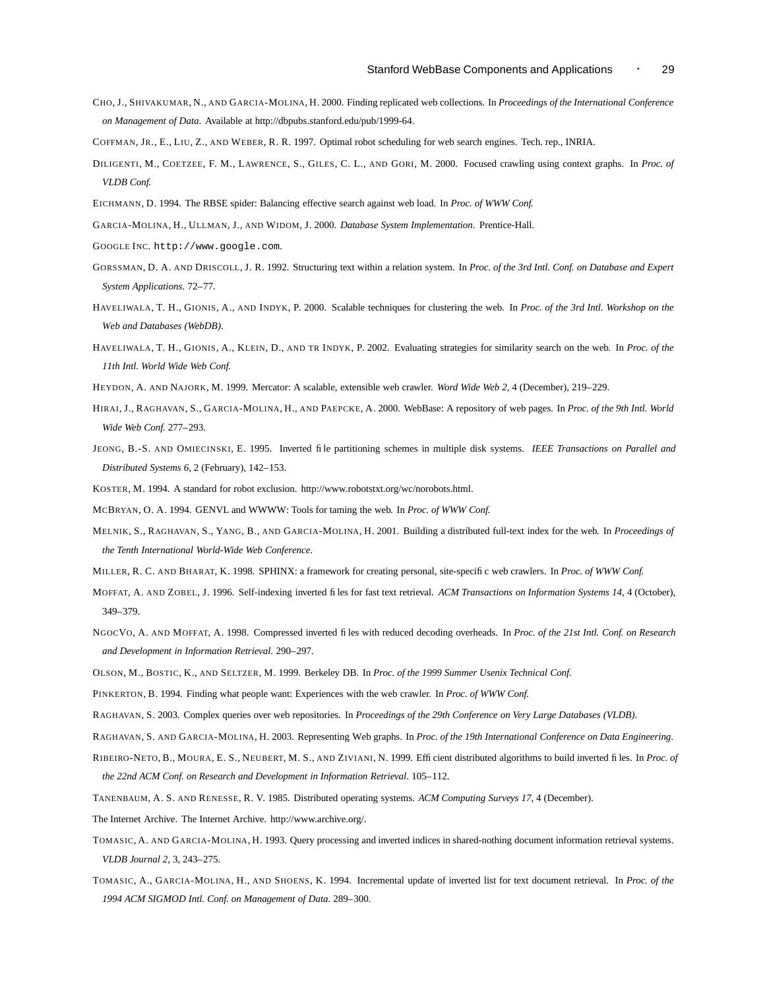- CHO, J., SHIVAKUMAR, N., AND GARCIA-MOLINA, H. 2000. Finding replicated web collections. In *Proceedings of the International Conference on Management of Data*. Available at http://dbpubs.stanford.edu/pub/1999-64.
- COFFMAN, JR., E., LIU, Z., AND WEBER, R. R. 1997. Optimal robot scheduling for web search engines. Tech. rep., INRIA.
- DILIGENTI, M., COETZEE, F. M., LAWRENCE, S., GILES, C. L., AND GORI, M. 2000. Focused crawling using context graphs. In *Proc. of VLDB Conf.*
- EICHMANN, D. 1994. The RBSE spider: Balancing effective search against web load. In *Proc. of WWW Conf.*
- GARCIA-MOLINA, H., ULLMAN, J., AND WIDOM, J. 2000. *Database System Implementation*. Prentice-Hall.
- GOOGLE INC. http://www.google.com.
- GORSSMAN, D. A. AND DRISCOLL, J. R. 1992. Structuring text within a relation system. In *Proc. of the 3rd Intl. Conf. on Database and Expert System Applications*. 72–77.
- HAVELIWALA, T. H., GIONIS, A., AND INDYK, P. 2000. Scalable techniques for clustering the web. In *Proc. of the 3rd Intl. Workshop on the Web and Databases (WebDB)*.
- HAVELIWALA, T. H., GIONIS, A., KLEIN, D., AND TR INDYK, P. 2002. Evaluating strategies for similarity search on the web. In *Proc. of the 11th Intl. World Wide Web Conf.*
- HEYDON, A. AND NAJORK, M. 1999. Mercator: A scalable, extensible web crawler. *Word Wide Web 2,* 4 (December), 219–229.
- HIRAI, J., RAGHAVAN, S., GARCIA-MOLINA, H., AND PAEPCKE, A. 2000. WebBase: A repository of web pages. In *Proc. of the 9th Intl. World Wide Web Conf.* 277–293.
- JEONG, B.-S. AND OMIECINSKI, E. 1995. Inverted file partitioning schemes in multiple disk systems. *IEEE Transactions on Parallel and Distributed Systems 6,* 2 (February), 142–153.
- KOSTER, M. 1994. A standard for robot exclusion. http://www.robotstxt.org/wc/norobots.html.
- MCBRYAN, O. A. 1994. GENVL and WWWW: Tools for taming the web. In *Proc. of WWW Conf.*
- MELNIK, S., RAGHAVAN, S., YANG, B., AND GARCIA-MOLINA, H. 2001. Building a distributed full-text index for the web. In *Proceedings of the Tenth International World-Wide Web Conference*.
- MILLER, R. C. AND BHARAT, K. 1998. SPHINX: a framework for creating personal, site-specific web crawlers. In *Proc. of WWW Conf.*
- MOFFAT, A. AND ZOBEL, J. 1996. Self-indexing inverted files for fast text retrieval. *ACM Transactions on Information Systems 14,* 4 (October), 349–379.
- NGOCVO, A. AND MOFFAT, A. 1998. Compressed inverted files with reduced decoding overheads. In *Proc. of the 21st Intl. Conf. on Research and Development in Information Retrieval*. 290–297.
- OLSON, M., BOSTIC, K., AND SELTZER, M. 1999. Berkeley DB. In *Proc. of the 1999 Summer Usenix Technical Conf.*
- PINKERTON, B. 1994. Finding what people want: Experiences with the web crawler. In *Proc. of WWW Conf.*
- RAGHAVAN, S. 2003. Complex queries over web repositories. In *Proceedings of the 29th Conference on Very Large Databases (VLDB)*.
- RAGHAVAN, S. AND GARCIA-MOLINA, H. 2003. Representing Web graphs. In *Proc. of the 19th International Conference on Data Engineering*.
- RIBEIRO-NETO, B., MOURA, E. S., NEUBERT, M. S., AND ZIVIANI, N. 1999. Efficient distributed algorithms to build inverted files. In *Proc. of the 22nd ACM Conf. on Research and Development in Information Retrieval*. 105–112.
- TANENBAUM, A. S. AND RENESSE, R. V. 1985. Distributed operating systems. *ACM Computing Surveys 17,* 4 (December).
- The Internet Archive. The Internet Archive. http://www.archive.org/.
- TOMASIC, A. AND GARCIA-MOLINA, H. 1993. Query processing and inverted indices in shared-nothing document information retrieval systems. *VLDB Journal 2,* 3, 243–275.
- TOMASIC, A., GARCIA-MOLINA, H., AND SHOENS, K. 1994. Incremental update of inverted list for text document retrieval. In *Proc. of the 1994 ACM SIGMOD Intl. Conf. on Management of Data*. 289–300.